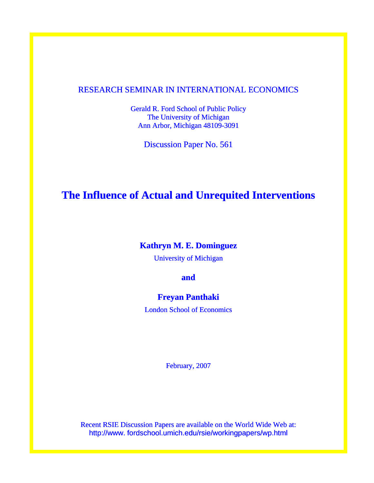# RESEARCH SEMINAR IN INTERNATIONAL ECONOMICS

Gerald R. Ford School of Public Policy The University of Michigan Ann Arbor, Michigan 48109-3091

Discussion Paper No. 561

# **The Influence of Actual and Unrequited Interventions**

# **Kathryn M. E. Dominguez**

University of Michigan

**and** 

# **Freyan Panthaki**

London School of Economics

February, 2007

Recent RSIE Discussion Papers are available on the World Wide Web at: http://www. fordschool.umich.edu/rsie/workingpapers/wp.html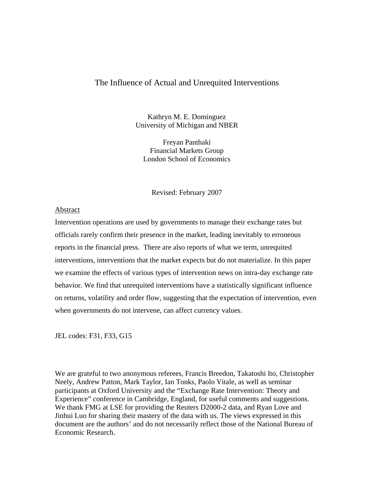# The Influence of Actual and Unrequited Interventions

Kathryn M. E. Dominguez University of Michigan and NBER

Freyan Panthaki Financial Markets Group London School of Economics

Revised: February 2007

### Abstract

Intervention operations are used by governments to manage their exchange rates but officials rarely confirm their presence in the market, leading inevitably to erroneous reports in the financial press. There are also reports of what we term, unrequited interventions, interventions that the market expects but do not materialize. In this paper we examine the effects of various types of intervention news on intra-day exchange rate behavior. We find that unrequited interventions have a statistically significant influence on returns, volatility and order flow, suggesting that the expectation of intervention, even when governments do not intervene, can affect currency values.

JEL codes: F31, F33, G15

We are grateful to two anonymous referees, Francis Breedon, Takatoshi Ito, Christopher Neely, Andrew Patton, Mark Taylor, Ian Tonks, Paolo Vitale, as well as seminar participants at Oxford University and the "Exchange Rate Intervention: Theory and Experience" conference in Cambridge, England, for useful comments and suggestions. We thank FMG at LSE for providing the Reuters D2000-2 data, and Ryan Love and Jinhui Luo for sharing their mastery of the data with us. The views expressed in this document are the authors' and do not necessarily reflect those of the National Bureau of Economic Research.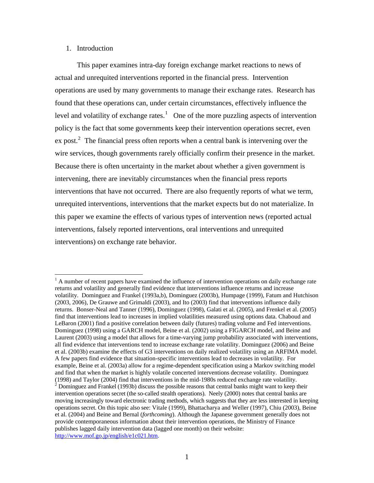# 1. Introduction

 $\overline{a}$ 

 This paper examines intra-day foreign exchange market reactions to news of actual and unrequited interventions reported in the financial press. Intervention operations are used by many governments to manage their exchange rates. Research has found that these operations can, under certain circumstances, effectively influence the level and volatility of exchange rates.<sup>[1](#page-2-0)</sup> One of the more puzzling aspects of intervention policy is the fact that some governments keep their intervention operations secret, even  $ex$  post.<sup>[2](#page-2-1)</sup> The financial press often reports when a central bank is intervening over the wire services, though governments rarely officially confirm their presence in the market. Because there is often uncertainty in the market about whether a given government is intervening, there are inevitably circumstances when the financial press reports interventions that have not occurred. There are also frequently reports of what we term, unrequited interventions, interventions that the market expects but do not materialize. In this paper we examine the effects of various types of intervention news (reported actual interventions, falsely reported interventions, oral interventions and unrequited interventions) on exchange rate behavior.

<span id="page-2-1"></span><span id="page-2-0"></span> $<sup>1</sup>$  A number of recent papers have examined the influence of intervention operations on daily exchange rate</sup> returns and volatility and generally find evidence that interventions influence returns and increase volatility. Dominguez and Frankel (1993a,b), Dominguez (2003b), Humpage (1999), Fatum and Hutchison (2003, 2006), De Grauwe and Grimaldi (2003), and Ito (2003) find that interventions influence daily returns. Bonser-Neal and Tanner (1996), Dominguez (1998), Galati et al. (2005), and Frenkel et al. (2005) find that interventions lead to increases in implied volatilities measured using options data. Chaboud and LeBaron (2001) find a positive correlation between daily (futures) trading volume and Fed interventions. Dominguez (1998) using a GARCH model, Beine et al. (2002) using a FIGARCH model, and Beine and Laurent (2003) using a model that allows for a time-varying jump probability associated with interventions, all find evidence that interventions tend to increase exchange rate volatility. Dominguez (2006) and Beine et al. (2003b) examine the effects of G3 interventions on daily realized volatility using an ARFIMA model. A few papers find evidence that situation-specific interventions lead to decreases in volatility. For example, Beine et al. (2003a) allow for a regime-dependent specification using a Markov switching model and find that when the market is highly volatile concerted interventions decrease volatility. Dominguez (1998) and Taylor (2004) find that interventions in the mid-1980s reduced exchange rate volatility.  $2^{2}$  Dominguez and Frankel (1993b) discuss the possible reasons that central banks might want to keep their intervention operations secret (the so-called stealth operations). Neely (2000) notes that central banks are moving increasingly toward electronic trading methods, which suggests that they are less interested in keeping operations secret. On this topic also see: Vitale (1999), Bhattacharya and Weller (1997), Chiu (2003), Beine et al. (2004) and Beine and Bernal (*forthcoming*). Although the Japanese government generally does not provide contemporaneous information about their intervention operations, the Ministry of Finance publishes lagged daily intervention data (lagged one month) on their website: <http://www.mof.go.jp/english/e1c021.htm>.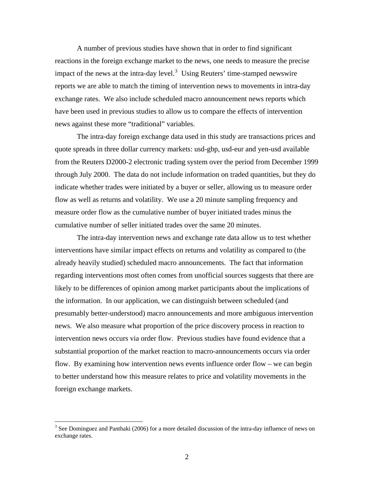A number of previous studies have shown that in order to find significant reactions in the foreign exchange market to the news, one needs to measure the precise impact of the news at the intra-day level.<sup>[3](#page-3-0)</sup> Using Reuters' time-stamped newswire reports we are able to match the timing of intervention news to movements in intra-day exchange rates. We also include scheduled macro announcement news reports which have been used in previous studies to allow us to compare the effects of intervention news against these more "traditional" variables.

The intra-day foreign exchange data used in this study are transactions prices and quote spreads in three dollar currency markets: usd-gbp, usd-eur and yen-usd available from the Reuters D2000-2 electronic trading system over the period from December 1999 through July 2000. The data do not include information on traded quantities, but they do indicate whether trades were initiated by a buyer or seller, allowing us to measure order flow as well as returns and volatility. We use a 20 minute sampling frequency and measure order flow as the cumulative number of buyer initiated trades minus the cumulative number of seller initiated trades over the same 20 minutes.

The intra-day intervention news and exchange rate data allow us to test whether interventions have similar impact effects on returns and volatility as compared to (the already heavily studied) scheduled macro announcements. The fact that information regarding interventions most often comes from unofficial sources suggests that there are likely to be differences of opinion among market participants about the implications of the information. In our application, we can distinguish between scheduled (and presumably better-understood) macro announcements and more ambiguous intervention news. We also measure what proportion of the price discovery process in reaction to intervention news occurs via order flow. Previous studies have found evidence that a substantial proportion of the market reaction to macro-announcements occurs via order flow. By examining how intervention news events influence order flow – we can begin to better understand how this measure relates to price and volatility movements in the foreign exchange markets.

<span id="page-3-0"></span> $3$  See Dominguez and Panthaki (2006) for a more detailed discussion of the intra-day influence of news on exchange rates.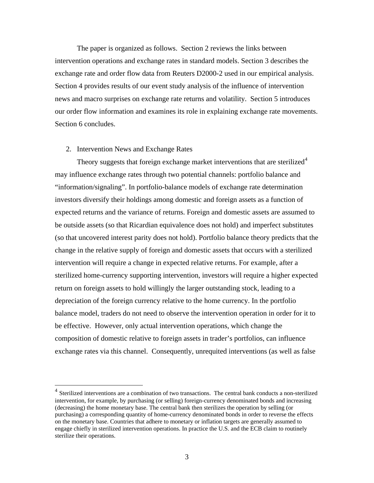The paper is organized as follows. Section 2 reviews the links between intervention operations and exchange rates in standard models. Section 3 describes the exchange rate and order flow data from Reuters D2000-2 used in our empirical analysis. Section 4 provides results of our event study analysis of the influence of intervention news and macro surprises on exchange rate returns and volatility. Section 5 introduces our order flow information and examines its role in explaining exchange rate movements. Section 6 concludes.

## 2. Intervention News and Exchange Rates

<u>.</u>

Theory suggests that foreign exchange market interventions that are sterilized<sup>[4](#page-4-0)</sup> may influence exchange rates through two potential channels: portfolio balance and "information/signaling". In portfolio-balance models of exchange rate determination investors diversify their holdings among domestic and foreign assets as a function of expected returns and the variance of returns. Foreign and domestic assets are assumed to be outside assets (so that Ricardian equivalence does not hold) and imperfect substitutes (so that uncovered interest parity does not hold). Portfolio balance theory predicts that the change in the relative supply of foreign and domestic assets that occurs with a sterilized intervention will require a change in expected relative returns. For example, after a sterilized home-currency supporting intervention, investors will require a higher expected return on foreign assets to hold willingly the larger outstanding stock, leading to a depreciation of the foreign currency relative to the home currency. In the portfolio balance model, traders do not need to observe the intervention operation in order for it to be effective. However, only actual intervention operations, which change the composition of domestic relative to foreign assets in trader's portfolios, can influence exchange rates via this channel. Consequently, unrequited interventions (as well as false

<span id="page-4-0"></span><sup>&</sup>lt;sup>4</sup> Sterilized interventions are a combination of two transactions. The central bank conducts a non-sterilized intervention, for example, by purchasing (or selling) foreign-currency denominated bonds and increasing (decreasing) the home monetary base. The central bank then sterilizes the operation by selling (or purchasing) a corresponding quantity of home-currency denominated bonds in order to reverse the effects on the monetary base. Countries that adhere to monetary or inflation targets are generally assumed to engage chiefly in sterilized intervention operations. In practice the U.S. and the ECB claim to routinely sterilize their operations.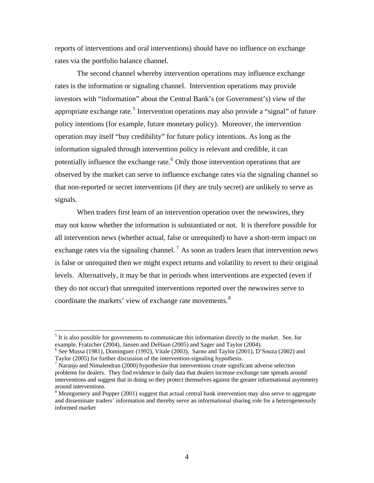reports of interventions and oral interventions) should have no influence on exchange rates via the portfolio balance channel.

The second channel whereby intervention operations may influence exchange rates is the information or signaling channel. Intervention operations may provide investors with "information" about the Central Bank's (or Government's) view of the appropriate exchange rate.<sup>[5](#page-5-0)</sup> Intervention operations may also provide a "signal" of future policy intentions (for example, future monetary policy). Moreover, the intervention operation may itself "buy credibility" for future policy intentions. As long as the information signaled through intervention policy is relevant and credible, it can potentially influence the exchange rate.<sup>[6](#page-5-1)</sup> Only those intervention operations that are observed by the market can serve to influence exchange rates via the signaling channel so that non-reported or secret interventions (if they are truly secret) are unlikely to serve as signals.

When traders first learn of an intervention operation over the newswires, they may not know whether the information is substantiated or not. It is therefore possible for all intervention news (whether actual, false or unrequited) to have a short-term impact on exchange rates via the signaling channel.<sup>[7](#page-5-2)</sup> As soon as traders learn that intervention news is false or unrequited then we might expect returns and volatility to revert to their original levels. Alternatively, it may be that in periods when interventions are expected (even if they do not occur) that unrequited interventions reported over the newswires serve to coordinate the markets' view of exchange rate movements.<sup>[8](#page-5-3)</sup>

<span id="page-5-0"></span><sup>&</sup>lt;sup>5</sup> It is also possible for governments to communicate this information directly to the market. See, for example, Fratzcher (2004), Jansen and DeHaan (2005) and Sager and Taylor (2004).

<span id="page-5-1"></span><sup>&</sup>lt;sup>6</sup> See Mussa (1981), Dominguez (1992), Vitale (2003), Sarno and Taylor (2001), D'Souza (2002) and Taylor (2005) for further discussion of the intervention-signaling hypothesis.

<span id="page-5-2"></span> $<sup>7</sup>$  Naranjo and Nimalendran (2000) hypothesize that interventions create significant adverse selection</sup> problems for dealers. They find evidence in daily data that dealers increase exchange rate spreads around interventions and suggest that in doing so they protect themselves against the greater informational asymmetry around interventions.

<span id="page-5-3"></span> $8$  Montgomery and Popper (2001) suggest that actual central bank intervention may also serve to aggregate and disseminate traders' information and thereby serve an informational sharing role for a heterogeneously informed market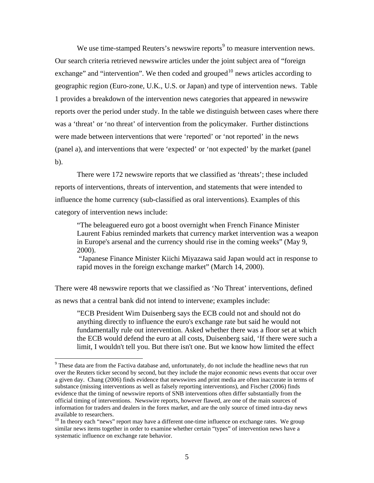We use time-stamped Reuters's newswire reports<sup>[9](#page-6-0)</sup> to measure intervention news. Our search criteria retrieved newswire articles under the joint subject area of "foreign exchange" and "intervention". We then coded and grouped $10$  news articles according to geographic region (Euro-zone, U.K., U.S. or Japan) and type of intervention news. Table 1 provides a breakdown of the intervention news categories that appeared in newswire reports over the period under study. In the table we distinguish between cases where there was a 'threat' or 'no threat' of intervention from the policymaker. Further distinctions were made between interventions that were 'reported' or 'not reported' in the news (panel a), and interventions that were 'expected' or 'not expected' by the market (panel b).

There were 172 newswire reports that we classified as 'threats'; these included reports of interventions, threats of intervention, and statements that were intended to influence the home currency (sub-classified as oral interventions). Examples of this category of intervention news include:

"The beleaguered euro got a boost overnight when French Finance Minister Laurent Fabius reminded markets that currency market intervention was a weapon in Europe's arsenal and the currency should rise in the coming weeks" (May 9, 2000).

 "Japanese Finance Minister Kiichi Miyazawa said Japan would act in response to rapid moves in the foreign exchange market" (March 14, 2000).

There were 48 newswire reports that we classified as 'No Threat' interventions, defined as news that a central bank did not intend to intervene; examples include:

"ECB President Wim Duisenberg says the ECB could not and should not do anything directly to influence the euro's exchange rate but said he would not fundamentally rule out intervention. Asked whether there was a floor set at which the ECB would defend the euro at all costs, Duisenberg said, 'If there were such a limit, I wouldn't tell you. But there isn't one. But we know how limited the effect

<span id="page-6-0"></span><sup>&</sup>lt;sup>9</sup> These data are from the Factiva database and, unfortunately, do not include the headline news that run over the Reuters ticker second by second, but they include the major economic news events that occur over a given day. Chang (2006) finds evidence that newswires and print media are often inaccurate in terms of substance (missing interventions as well as falsely reporting interventions), and Fischer (2006) finds evidence that the timing of newswire reports of SNB interventions often differ substantially from the official timing of interventions. Newswire reports, however flawed, are one of the main sources of information for traders and dealers in the forex market, and are the only source of timed intra-day news available to researchers.

<span id="page-6-1"></span><sup>&</sup>lt;sup>10</sup> In theory each "news" report may have a different one-time influence on exchange rates. We group similar news items together in order to examine whether certain "types" of intervention news have a systematic influence on exchange rate behavior.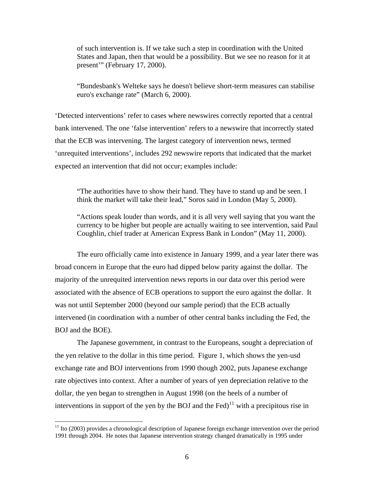of such intervention is. If we take such a step in coordination with the United States and Japan, then that would be a possibility. But we see no reason for it at present'" (February 17, 2000).

"Bundesbank's Welteke says he doesn't believe short-term measures can stabilise euro's exchange rate" (March 6, 2000).

'Detected interventions' refer to cases where newswires correctly reported that a central bank intervened. The one 'false intervention' refers to a newswire that incorrectly stated that the ECB was intervening. The largest category of intervention news, termed 'unrequited interventions', includes 292 newswire reports that indicated that the market expected an intervention that did not occur; examples include:

"The authorities have to show their hand. They have to stand up and be seen. I think the market will take their lead," Soros said in London (May 5, 2000).

"Actions speak louder than words, and it is all very well saying that you want the currency to be higher but people are actually waiting to see intervention, said Paul Coughlin, chief trader at American Express Bank in London" (May 11, 2000).

The euro officially came into existence in January 1999, and a year later there was broad concern in Europe that the euro had dipped below parity against the dollar. The majority of the unrequited intervention news reports in our data over this period were associated with the absence of ECB operations to support the euro against the dollar. It was not until September 2000 (beyond our sample period) that the ECB actually intervened (in coordination with a number of other central banks including the Fed, the BOJ and the BOE).

The Japanese government, in contrast to the Europeans, sought a depreciation of the yen relative to the dollar in this time period. Figure 1, which shows the yen-usd exchange rate and BOJ interventions from 1990 though 2002, puts Japanese exchange rate objectives into context. After a number of years of yen depreciation relative to the dollar, the yen began to strengthen in August 1998 (on the heels of a number of interventions in support of the yen by the BOJ and the Fed)<sup>[11](#page-7-0)</sup> with a precipitous rise in

<span id="page-7-0"></span><sup>&</sup>lt;sup>11</sup> Ito (2003) provides a chronological description of Japanese foreign exchange intervention over the period 1991 through 2004. He notes that Japanese intervention strategy changed dramatically in 1995 under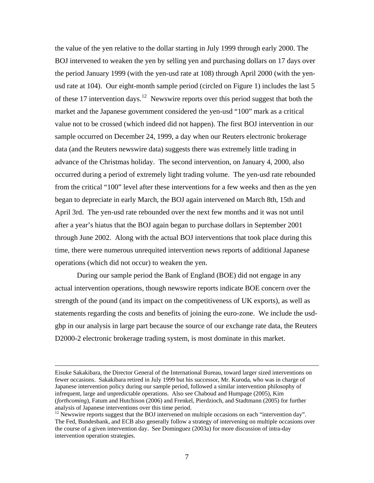the value of the yen relative to the dollar starting in July 1999 through early 2000. The BOJ intervened to weaken the yen by selling yen and purchasing dollars on 17 days over the period January 1999 (with the yen-usd rate at 108) through April 2000 (with the yenusd rate at 104). Our eight-month sample period (circled on Figure 1) includes the last 5 of these 17 intervention days.<sup>[12](#page-8-0)</sup> Newswire reports over this period suggest that both the market and the Japanese government considered the yen-usd "100" mark as a critical value not to be crossed (which indeed did not happen). The first BOJ intervention in our sample occurred on December 24, 1999, a day when our Reuters electronic brokerage data (and the Reuters newswire data) suggests there was extremely little trading in advance of the Christmas holiday. The second intervention, on January 4, 2000, also occurred during a period of extremely light trading volume. The yen-usd rate rebounded from the critical "100" level after these interventions for a few weeks and then as the yen began to depreciate in early March, the BOJ again intervened on March 8th, 15th and April 3rd. The yen-usd rate rebounded over the next few months and it was not until after a year's hiatus that the BOJ again began to purchase dollars in September 2001 through June 2002. Along with the actual BOJ interventions that took place during this time, there were numerous unrequited intervention news reports of additional Japanese operations (which did not occur) to weaken the yen.

During our sample period the Bank of England (BOE) did not engage in any actual intervention operations, though newswire reports indicate BOE concern over the strength of the pound (and its impact on the competitiveness of UK exports), as well as statements regarding the costs and benefits of joining the euro-zone. We include the usdgbp in our analysis in large part because the source of our exchange rate data, the Reuters D2000-2 electronic brokerage trading system, is most dominate in this market.

Eisuke Sakakibara, the Director General of the International Bureau, toward larger sized interventions on fewer occasions. Sakakibara retired in July 1999 but his successor, Mr. Kuroda, who was in charge of Japanese intervention policy during our sample period, followed a similar intervention philosophy of infrequent, large and unpredictable operations. Also see Chaboud and Humpage (2005), Kim (*forthcoming*), Fatum and Hutchison (2006) and Frenkel, Pierdzioch, and Stadtmann (2005) for further analysis of Japanese interventions over this time period.

<span id="page-8-0"></span><sup>&</sup>lt;sup>12</sup> Newswire reports suggest that the BOJ intervened on multiple occasions on each "intervention day". The Fed, Bundesbank, and ECB also generally follow a strategy of intervening on multiple occasions over the course of a given intervention day. See Dominguez (2003a) for more discussion of intra-day intervention operation strategies.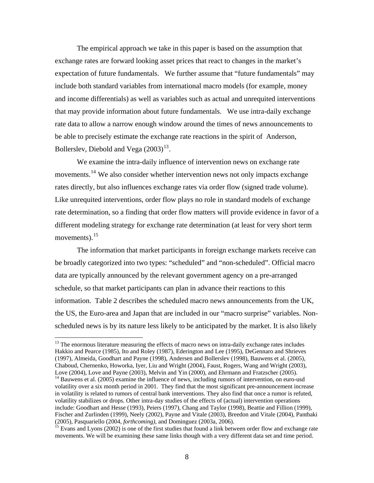The empirical approach we take in this paper is based on the assumption that exchange rates are forward looking asset prices that react to changes in the market's expectation of future fundamentals. We further assume that "future fundamentals" may include both standard variables from international macro models (for example, money and income differentials) as well as variables such as actual and unrequited interventions that may provide information about future fundamentals. We use intra-daily exchange rate data to allow a narrow enough window around the times of news announcements to be able to precisely estimate the exchange rate reactions in the spirit of Anderson, Bollerslev, Diebold and Vega  $(2003)^{13}$  $(2003)^{13}$  $(2003)^{13}$ .

We examine the intra-daily influence of intervention news on exchange rate movements.<sup>[14](#page-9-1)</sup> We also consider whether intervention news not only impacts exchange rates directly, but also influences exchange rates via order flow (signed trade volume). Like unrequited interventions, order flow plays no role in standard models of exchange rate determination, so a finding that order flow matters will provide evidence in favor of a different modeling strategy for exchange rate determination (at least for very short term movements).<sup>[15](#page-9-2)</sup>

 The information that market participants in foreign exchange markets receive can be broadly categorized into two types: "scheduled" and "non-scheduled". Official macro data are typically announced by the relevant government agency on a pre-arranged schedule, so that market participants can plan in advance their reactions to this information. Table 2 describes the scheduled macro news announcements from the UK, the US, the Euro-area and Japan that are included in our "macro surprise" variables. Nonscheduled news is by its nature less likely to be anticipated by the market. It is also likely

<span id="page-9-0"></span><sup>&</sup>lt;sup>13</sup> The enormous literature measuring the effects of macro news on intra-daily exchange rates includes Hakkio and Pearce (1985), Ito and Roley (1987), Ederington and Lee (1995), DeGennaro and Shrieves (1997), Almeida, Goodhart and Payne (1998), Andersen and Bollerslev (1998), Bauwens et al. (2005), Chaboud, Chernenko, Howorka, Iyer, Liu and Wright (2004), Faust, Rogers, Wang and Wright (2003), Love (2004), Love and Payne (2003), Melvin and Yin (2000), and Ehrmann and Fratzscher (2005).

<span id="page-9-1"></span><sup>&</sup>lt;sup>14</sup> Bauwens et al. (2005) examine the influence of news, including rumors of intervention, on euro-usd volatility over a six month period in 2001. They find that the most significant pre-announcement increase in volatility is related to rumors of central bank interventions. They also find that once a rumor is refuted, volatility stabilizes or drops. Other intra-day studies of the effects of (actual) intervention operations include: Goodhart and Hesse (1993), Peiers (1997), Chang and Taylor (1998), Beattie and Fillion (1999), Fischer and Zurlinden (1999), Neely (2002), Payne and Vitale (2003), Breedon and Vitale (2004), Panthaki (2005), Pasquariello (2004, *forthcoming)*, and Dominguez (2003a, 2006). 15 Evans and Lyons (2002) is one of the first studies that found a link between order flow and exchange rate

<span id="page-9-2"></span>movements. We will be examining these same links though with a very different data set and time period.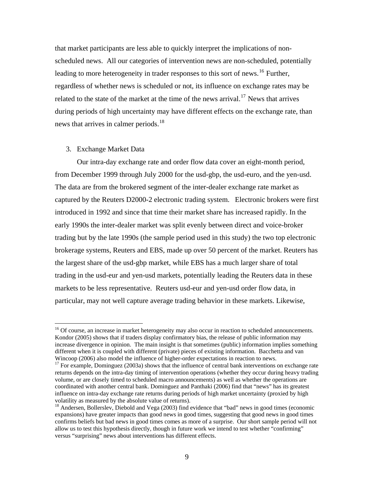that market participants are less able to quickly interpret the implications of nonscheduled news. All our categories of intervention news are non-scheduled, potentially leading to more heterogeneity in trader responses to this sort of news.<sup>[16](#page-10-0)</sup> Further, regardless of whether news is scheduled or not, its influence on exchange rates may be related to the state of the market at the time of the news arrival.<sup>[17](#page-10-1)</sup> News that arrives during periods of high uncertainty may have different effects on the exchange rate, than news that arrives in calmer periods.<sup>[18](#page-10-2)</sup>

# 3. Exchange Market Data

 $\overline{a}$ 

Our intra-day exchange rate and order flow data cover an eight-month period, from December 1999 through July 2000 for the usd-gbp, the usd-euro, and the yen-usd. The data are from the brokered segment of the inter-dealer exchange rate market as captured by the Reuters D2000-2 electronic trading system. Electronic brokers were first introduced in 1992 and since that time their market share has increased rapidly. In the early 1990s the inter-dealer market was split evenly between direct and voice-broker trading but by the late 1990s (the sample period used in this study) the two top electronic brokerage systems, Reuters and EBS, made up over 50 percent of the market. Reuters has the largest share of the usd-gbp market, while EBS has a much larger share of total trading in the usd-eur and yen-usd markets, potentially leading the Reuters data in these markets to be less representative. Reuters usd-eur and yen-usd order flow data, in particular, may not well capture average trading behavior in these markets. Likewise,

<span id="page-10-0"></span><sup>&</sup>lt;sup>16</sup> Of course, an increase in market heterogeneity may also occur in reaction to scheduled announcements. Kondor (2005) shows that if traders display confirmatory bias, the release of public information may increase divergence in opinion. The main insight is that sometimes (public) information implies something different when it is coupled with different (private) pieces of existing information. Bacchetta and van Wincoop (2006) also model the influence of higher-order expectations in reaction to news.

<span id="page-10-1"></span> $17$  For example, Dominguez (2003a) shows that the influence of central bank interventions on exchange rate returns depends on the intra-day timing of intervention operations (whether they occur during heavy trading volume, or are closely timed to scheduled macro announcements) as well as whether the operations are coordinated with another central bank. Dominguez and Panthaki (2006) find that "news" has its greatest influence on intra-day exchange rate returns during periods of high market uncertainty (proxied by high volatility as measured by the absolute value of returns).

<span id="page-10-2"></span><sup>&</sup>lt;sup>18</sup> Andersen, Bollerslev, Diebold and Vega (2003) find evidence that "bad" news in good times (economic expansions) have greater impacts than good news in good times, suggesting that good news in good times confirms beliefs but bad news in good times comes as more of a surprise. Our short sample period will not allow us to test this hypothesis directly, though in future work we intend to test whether "confirming" versus "surprising" news about interventions has different effects.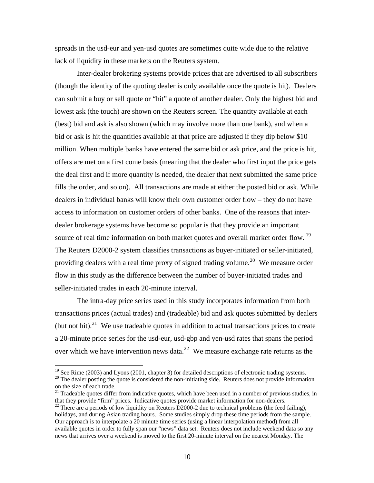spreads in the usd-eur and yen-usd quotes are sometimes quite wide due to the relative lack of liquidity in these markets on the Reuters system.

Inter-dealer brokering systems provide prices that are advertised to all subscribers (though the identity of the quoting dealer is only available once the quote is hit). Dealers can submit a buy or sell quote or "hit" a quote of another dealer. Only the highest bid and lowest ask (the touch) are shown on the Reuters screen. The quantity available at each (best) bid and ask is also shown (which may involve more than one bank), and when a bid or ask is hit the quantities available at that price are adjusted if they dip below \$10 million. When multiple banks have entered the same bid or ask price, and the price is hit, offers are met on a first come basis (meaning that the dealer who first input the price gets the deal first and if more quantity is needed, the dealer that next submitted the same price fills the order, and so on). All transactions are made at either the posted bid or ask. While dealers in individual banks will know their own customer order flow – they do not have access to information on customer orders of other banks. One of the reasons that interdealer brokerage systems have become so popular is that they provide an important source of real time information on both market quotes and overall market order flow.<sup>[19](#page-11-0)</sup> The Reuters D2000-2 system classifies transactions as buyer-initiated or seller-initiated, providing dealers with a real time proxy of signed trading volume.<sup>[20](#page-11-1)</sup> We measure order flow in this study as the difference between the number of buyer-initiated trades and seller-initiated trades in each 20-minute interval.

 The intra-day price series used in this study incorporates information from both transactions prices (actual trades) and (tradeable) bid and ask quotes submitted by dealers (but not hit).<sup>[21](#page-11-2)</sup> We use tradeable quotes in addition to actual transactions prices to create a 20-minute price series for the usd-eur, usd-gbp and yen-usd rates that spans the period over which we have intervention news data.<sup>[22](#page-11-3)</sup> We measure exchange rate returns as the

<span id="page-11-0"></span><sup>&</sup>lt;sup>19</sup> See Rime (2003) and Lyons (2001, chapter 3) for detailed descriptions of electronic trading systems.

<span id="page-11-1"></span> $20$  The dealer posting the quote is considered the non-initiating side. Reuters does not provide information on the size of each trade.

<span id="page-11-2"></span><sup>&</sup>lt;sup>21</sup> Tradeable quotes differ from indicative quotes, which have been used in a number of previous studies, in that they provide "firm" prices. Indicative quotes provide market information for non-dealers.<br><sup>22</sup> There are a periods of low liquidity on Reuters D2000-2 due to technical problems (the feed failing),

<span id="page-11-3"></span>holidays, and during Asian trading hours. Some studies simply drop these time periods from the sample. Our approach is to interpolate a 20 minute time series (using a linear interpolation method) from all available quotes in order to fully span our "news" data set. Reuters does not include weekend data so any news that arrives over a weekend is moved to the first 20-minute interval on the nearest Monday. The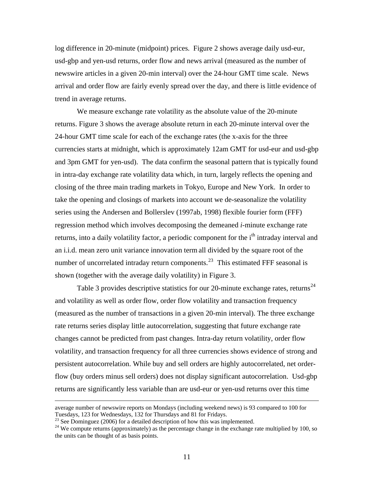log difference in 20-minute (midpoint) prices. Figure 2 shows average daily usd-eur, usd-gbp and yen-usd returns, order flow and news arrival (measured as the number of newswire articles in a given 20-min interval) over the 24-hour GMT time scale. News arrival and order flow are fairly evenly spread over the day, and there is little evidence of trend in average returns.

 We measure exchange rate volatility as the absolute value of the 20-minute returns. Figure 3 shows the average absolute return in each 20-minute interval over the 24-hour GMT time scale for each of the exchange rates (the x-axis for the three currencies starts at midnight, which is approximately 12am GMT for usd-eur and usd-gbp and 3pm GMT for yen-usd). The data confirm the seasonal pattern that is typically found in intra-day exchange rate volatility data which, in turn, largely reflects the opening and closing of the three main trading markets in Tokyo, Europe and New York. In order to take the opening and closings of markets into account we de-seasonalize the volatility series using the Andersen and Bollerslev (1997ab, 1998) flexible fourier form (FFF) regression method which involves decomposing the demeaned *i*-minute exchange rate returns, into a daily volatility factor, a periodic component for the i<sup>th</sup> intraday interval and an i.i.d. mean zero unit variance innovation term all divided by the square root of the number of uncorrelated intraday return components.<sup>[23](#page-12-0)</sup> This estimated FFF seasonal is shown (together with the average daily volatility) in Figure 3.

Table 3 provides descriptive statistics for our 20-minute exchange rates, returns<sup>[24](#page-12-1)</sup> and volatility as well as order flow, order flow volatility and transaction frequency (measured as the number of transactions in a given 20-min interval). The three exchange rate returns series display little autocorrelation, suggesting that future exchange rate changes cannot be predicted from past changes. Intra-day return volatility, order flow volatility, and transaction frequency for all three currencies shows evidence of strong and persistent autocorrelation. While buy and sell orders are highly autocorrelated, net orderflow (buy orders minus sell orders) does not display significant autocorrelation. Usd-gbp returns are significantly less variable than are usd-eur or yen-usd returns over this time

average number of newswire reports on Mondays (including weekend news) is 93 compared to 100 for Tuesdays, 123 for Wednesdays, 132 for Thursdays and 81 for Fridays.

<span id="page-12-0"></span> $^{23}$  See Dominguez (2006) for a detailed description of how this was implemented.

<span id="page-12-1"></span> $24$  We compute returns (approximately) as the percentage change in the exchange rate multiplied by 100, so the units can be thought of as basis points.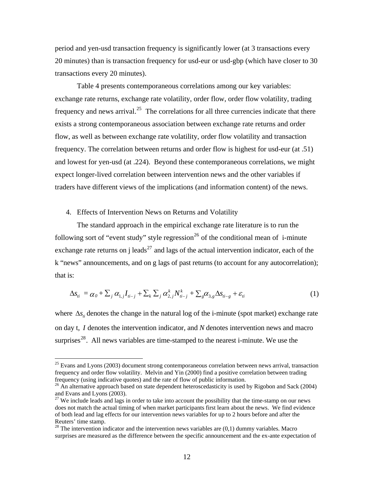period and yen-usd transaction frequency is significantly lower (at 3 transactions every 20 minutes) than is transaction frequency for usd-eur or usd-gbp (which have closer to 30 transactions every 20 minutes).

Table 4 presents contemporaneous correlations among our key variables: exchange rate returns, exchange rate volatility, order flow, order flow volatility, trading frequency and news arrival.<sup>[25](#page-13-0)</sup> The correlations for all three currencies indicate that there exists a strong contemporaneous association between exchange rate returns and order flow, as well as between exchange rate volatility, order flow volatility and transaction frequency. The correlation between returns and order flow is highest for usd-eur (at .51) and lowest for yen-usd (at .224). Beyond these contemporaneous correlations, we might expect longer-lived correlation between intervention news and the other variables if traders have different views of the implications (and information content) of the news.

# 4. Effects of Intervention News on Returns and Volatility

 $\overline{a}$ 

The standard approach in the empirical exchange rate literature is to run the following sort of "event study" style regression<sup>[26](#page-13-1)</sup> of the conditional mean of i-minute exchange rate returns on j leads<sup>[27](#page-13-2)</sup> and lags of the actual intervention indicator, each of the k "news" announcements, and on g lags of past returns (to account for any autocorrelation); that is:

$$
\Delta s_{ii} = \alpha_0 + \sum_j \alpha_{1,j} I_{ii-j} + \sum_k \sum_j \alpha_{2,j}^k N_{ii-j}^k + \sum_s \alpha_{3,s} \Delta s_{ii-s} + \varepsilon_{ii}
$$
\n(1)

where  $\Delta s_{i}$  denotes the change in the natural log of the i-minute (spot market) exchange rate on day t, *I* denotes the intervention indicator, and *N* denotes intervention news and macro surprises<sup>[28](#page-13-3)</sup>. All news variables are time-stamped to the nearest i-minute. We use the

<span id="page-13-0"></span> $25$  Evans and Lyons (2003) document strong contemporaneous correlation between news arrival, transaction frequency and order flow volatility. Melvin and Yin (2000) find a positive correlation between trading frequency (using indicative quotes) and the rate of flow of public information.

<span id="page-13-1"></span><sup>&</sup>lt;sup>26</sup> An alternative approach based on state dependent heteroscedasticity is used by Rigobon and Sack (2004) and Evans and Lyons (2003).

<span id="page-13-2"></span><sup>&</sup>lt;sup>27</sup> We include leads and lags in order to take into account the possibility that the time-stamp on our news does not match the actual timing of when market participants first learn about the news. We find evidence of both lead and lag effects for our intervention news variables for up to 2 hours before and after the Reuters' time stamp.

<span id="page-13-3"></span> $^{28}$  The intervention indicator and the intervention news variables are  $(0,1)$  dummy variables. Macro surprises are measured as the difference between the specific announcement and the ex-ante expectation of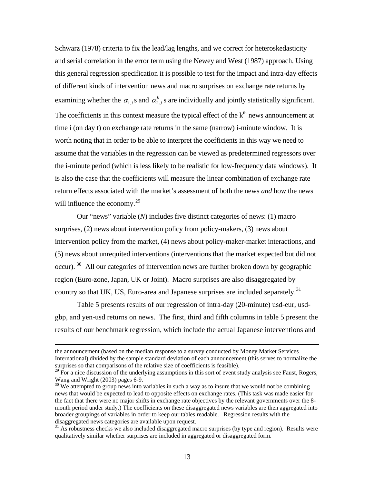Schwarz (1978) criteria to fix the lead/lag lengths, and we correct for heteroskedasticity and serial correlation in the error term using the Newey and West (1987) approach. Using this general regression specification it is possible to test for the impact and intra-day effects of different kinds of intervention news and macro surprises on exchange rate returns by examining whether the  $\alpha_{1,j}$  s and  $\alpha_{2,j}^k$  s are individually and jointly statistically significant. The coefficients in this context measure the typical effect of the  $k<sup>th</sup>$  news announcement at time i (on day t) on exchange rate returns in the same (narrow) i-minute window. It is worth noting that in order to be able to interpret the coefficients in this way we need to assume that the variables in the regression can be viewed as predetermined regressors over the i-minute period (which is less likely to be realistic for low-frequency data windows). It is also the case that the coefficients will measure the linear combination of exchange rate return effects associated with the market's assessment of both the news *and* how the news will influence the economy.<sup>[29](#page-14-0)</sup>

 Our "news" variable (*N*) includes five distinct categories of news: (1) macro surprises, (2) news about intervention policy from policy-makers, (3) news about intervention policy from the market, (4) news about policy-maker-market interactions, and (5) news about unrequited interventions (interventions that the market expected but did not occur). <sup>[30](#page-14-1)</sup> All our categories of intervention news are further broken down by geographic region (Euro-zone, Japan, UK or Joint). Macro surprises are also disaggregated by country so that UK, US, Euro-area and Japanese surprises are included separately.<sup>[31](#page-14-2)</sup>

Table 5 presents results of our regression of intra-day (20-minute) usd-eur, usdgbp, and yen-usd returns on news. The first, third and fifth columns in table 5 present the results of our benchmark regression, which include the actual Japanese interventions and

the announcement (based on the median response to a survey conducted by Money Market Services International) divided by the sample standard deviation of each announcement (this serves to normalize the surprises so that comparisons of the relative size of coefficients is feasible).

<span id="page-14-0"></span> $29$  For a nice discussion of the underlying assumptions in this sort of event study analysis see Faust, Rogers, Wang and Wright (2003) pages 6-9.

<span id="page-14-1"></span><sup>&</sup>lt;sup>30</sup> We attempted to group news into variables in such a way as to insure that we would not be combining news that would be expected to lead to opposite effects on exchange rates. (This task was made easier for the fact that there were no major shifts in exchange rate objectives by the relevant governments over the 8 month period under study.) The coefficients on these disaggregated news variables are then aggregated into broader groupings of variables in order to keep our tables readable. Regression results with the disaggregated news categories are available upon request.

<span id="page-14-2"></span> $31$  As robustness checks we also included disaggregated macro surprises (by type and region). Results were qualitatively similar whether surprises are included in aggregated or disaggregated form.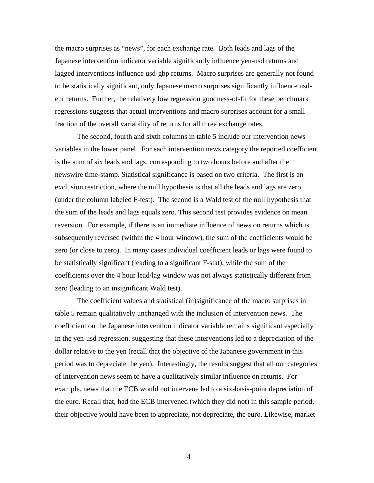the macro surprises as "news", for each exchange rate. Both leads and lags of the Japanese intervention indicator variable significantly influence yen-usd returns and lagged interventions influence usd-gbp returns. Macro surprises are generally not found to be statistically significant, only Japanese macro surprises significantly influence usdeur returns. Further, the relatively low regression goodness-of-fit for these benchmark regressions suggests that actual interventions and macro surprises account for a small fraction of the overall variability of returns for all three exchange rates.

The second, fourth and sixth columns in table 5 include our intervention news variables in the lower panel. For each intervention news category the reported coefficient is the sum of six leads and lags, corresponding to two hours before and after the newswire time-stamp. Statistical significance is based on two criteria. The first is an exclusion restriction, where the null hypothesis is that all the leads and lags are zero (under the column labeled F-test). The second is a Wald test of the null hypothesis that the sum of the leads and lags equals zero. This second test provides evidence on mean reversion. For example, if there is an immediate influence of news on returns which is subsequently reversed (within the 4 hour window), the sum of the coefficients would be zero (or close to zero). In many cases individual coefficient leads or lags were found to be statistically significant (leading to a significant F-stat), while the sum of the coefficients over the 4 hour lead/lag window was not always statistically different from zero (leading to an insignificant Wald test).

The coefficient values and statistical (in)significance of the macro surprises in table 5 remain qualitatively unchanged with the inclusion of intervention news. The coefficient on the Japanese intervention indicator variable remains significant especially in the yen-usd regression, suggesting that these interventions led to a depreciation of the dollar relative to the yen (recall that the objective of the Japanese government in this period was to depreciate the yen). Interestingly, the results suggest that all our categories of intervention news seem to have a qualitatively similar influence on returns. For example, news that the ECB would not intervene led to a six-basis-point depreciation of the euro. Recall that, had the ECB intervened (which they did not) in this sample period, their objective would have been to appreciate, not depreciate, the euro. Likewise, market

14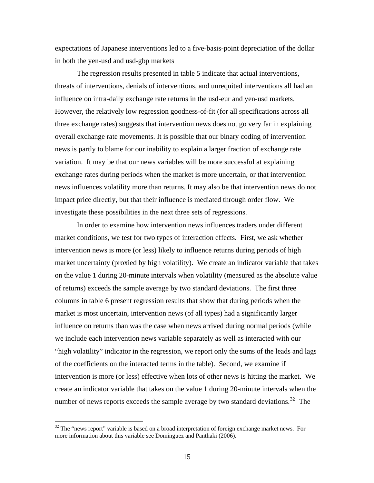expectations of Japanese interventions led to a five-basis-point depreciation of the dollar in both the yen-usd and usd-gbp markets

The regression results presented in table 5 indicate that actual interventions, threats of interventions, denials of interventions, and unrequited interventions all had an influence on intra-daily exchange rate returns in the usd-eur and yen-usd markets. However, the relatively low regression goodness-of-fit (for all specifications across all three exchange rates) suggests that intervention news does not go very far in explaining overall exchange rate movements. It is possible that our binary coding of intervention news is partly to blame for our inability to explain a larger fraction of exchange rate variation. It may be that our news variables will be more successful at explaining exchange rates during periods when the market is more uncertain, or that intervention news influences volatility more than returns. It may also be that intervention news do not impact price directly, but that their influence is mediated through order flow. We investigate these possibilities in the next three sets of regressions.

In order to examine how intervention news influences traders under different market conditions, we test for two types of interaction effects. First, we ask whether intervention news is more (or less) likely to influence returns during periods of high market uncertainty (proxied by high volatility). We create an indicator variable that takes on the value 1 during 20-minute intervals when volatility (measured as the absolute value of returns) exceeds the sample average by two standard deviations. The first three columns in table 6 present regression results that show that during periods when the market is most uncertain, intervention news (of all types) had a significantly larger influence on returns than was the case when news arrived during normal periods (while we include each intervention news variable separately as well as interacted with our "high volatility" indicator in the regression, we report only the sums of the leads and lags of the coefficients on the interacted terms in the table). Second, we examine if intervention is more (or less) effective when lots of other news is hitting the market. We create an indicator variable that takes on the value 1 during 20-minute intervals when the number of news reports exceeds the sample average by two standard deviations.<sup>[32](#page-16-0)</sup> The

<span id="page-16-0"></span> $32$  The "news report" variable is based on a broad interpretation of foreign exchange market news. For more information about this variable see Dominguez and Panthaki (2006).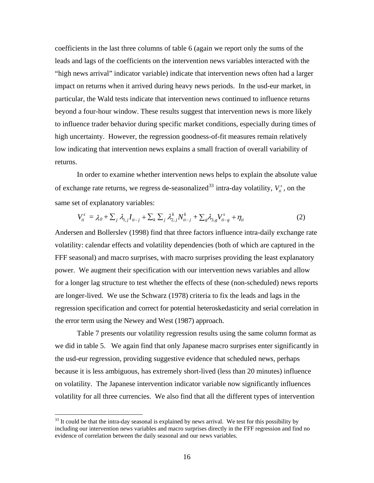coefficients in the last three columns of table 6 (again we report only the sums of the leads and lags of the coefficients on the intervention news variables interacted with the "high news arrival" indicator variable) indicate that intervention news often had a larger impact on returns when it arrived during heavy news periods. In the usd-eur market, in particular, the Wald tests indicate that intervention news continued to influence returns beyond a four-hour window. These results suggest that intervention news is more likely to influence trader behavior during specific market conditions, especially during times of high uncertainty. However, the regression goodness-of-fit measures remain relatively low indicating that intervention news explains a small fraction of overall variability of returns.

In order to examine whether intervention news helps to explain the absolute value of exchange rate returns, we regress de-seasonalized<sup>[33](#page-17-0)</sup> intra-day volatility,  $V_i^s$ , on the same set of explanatory variables:

$$
V_{ii}^s = \lambda_0 + \sum_j \lambda_{1,j} I_{ti-j} + \sum_k \sum_j \lambda_{2,j}^k N_{ti-j}^k + \sum_g \lambda_{3,g} V_{ti-g}^s + \eta_{ti}
$$
 (2)

Andersen and Bollerslev (1998) find that three factors influence intra-daily exchange rate volatility: calendar effects and volatility dependencies (both of which are captured in the FFF seasonal) and macro surprises, with macro surprises providing the least explanatory power. We augment their specification with our intervention news variables and allow for a longer lag structure to test whether the effects of these (non-scheduled) news reports are longer-lived. We use the Schwarz (1978) criteria to fix the leads and lags in the regression specification and correct for potential heteroskedasticity and serial correlation in the error term using the Newey and West (1987) approach.

Table 7 presents our volatility regression results using the same column format as we did in table 5. We again find that only Japanese macro surprises enter significantly in the usd-eur regression, providing suggestive evidence that scheduled news, perhaps because it is less ambiguous, has extremely short-lived (less than 20 minutes) influence on volatility. The Japanese intervention indicator variable now significantly influences volatility for all three currencies. We also find that all the different types of intervention

<span id="page-17-0"></span><sup>&</sup>lt;sup>33</sup> It could be that the intra-day seasonal is explained by news arrival. We test for this possibility by including our intervention news variables and macro surprises directly in the FFF regression and find no evidence of correlation between the daily seasonal and our news variables.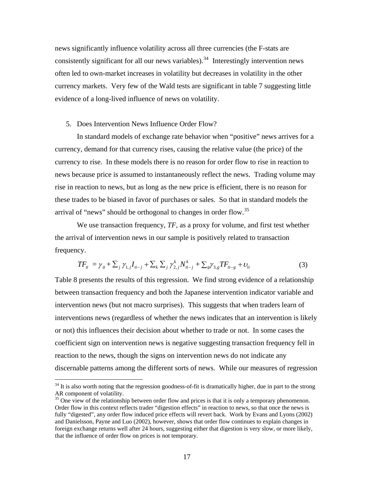news significantly influence volatility across all three currencies (the F-stats are consistently significant for all our news variables).<sup>[34](#page-18-0)</sup> Interestingly intervention news often led to own-market increases in volatility but decreases in volatility in the other currency markets. Very few of the Wald tests are significant in table 7 suggesting little evidence of a long-lived influence of news on volatility.

# 5. Does Intervention News Influence Order Flow?

In standard models of exchange rate behavior when "positive" news arrives for a currency, demand for that currency rises, causing the relative value (the price) of the currency to rise. In these models there is no reason for order flow to rise in reaction to news because price is assumed to instantaneously reflect the news. Trading volume may rise in reaction to news, but as long as the new price is efficient, there is no reason for these trades to be biased in favor of purchases or sales. So that in standard models the arrival of "news" should be orthogonal to changes in order flow.<sup>[35](#page-18-1)</sup>

We use transaction frequency, *TF*, as a proxy for volume, and first test whether the arrival of intervention news in our sample is positively related to transaction frequency.

$$
TF_{ii} = \gamma_0 + \sum_j \gamma_{1,j} I_{ii-j} + \sum_k \sum_j \gamma_{2,j}^k N_{ii-j}^k + \sum_g \gamma_{3,g} TF_{ii-g} + \nu_{ii}
$$
(3)

Table 8 presents the results of this regression. We find strong evidence of a relationship between transaction frequency and both the Japanese intervention indicator variable and intervention news (but not macro surprises). This suggests that when traders learn of interventions news (regardless of whether the news indicates that an intervention is likely or not) this influences their decision about whether to trade or not. In some cases the coefficient sign on intervention news is negative suggesting transaction frequency fell in reaction to the news, though the signs on intervention news do not indicate any discernable patterns among the different sorts of news. While our measures of regression

<span id="page-18-0"></span><sup>&</sup>lt;sup>34</sup> It is also worth noting that the regression goodness-of-fit is dramatically higher, due in part to the strong AR component of volatility.

<span id="page-18-1"></span> $35$  One view of the relationship between order flow and prices is that it is only a temporary phenomenon. Order flow in this context reflects trader "digestion effects" in reaction to news, so that once the news is fully "digested", any order flow induced price effects will revert back. Work by Evans and Lyons (2002) and Danielsson, Payne and Luo (2002), however, shows that order flow continues to explain changes in foreign exchange returns well after 24 hours, suggesting either that digestion is very slow, or more likely, that the influence of order flow on prices is not temporary.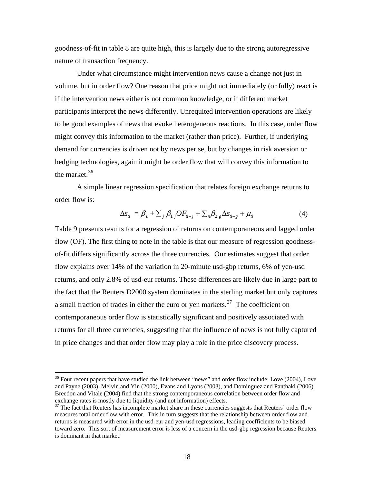goodness-of-fit in table 8 are quite high, this is largely due to the strong autoregressive nature of transaction frequency.

Under what circumstance might intervention news cause a change not just in volume, but in order flow? One reason that price might not immediately (or fully) react is if the intervention news either is not common knowledge, or if different market participants interpret the news differently. Unrequited intervention operations are likely to be good examples of news that evoke heterogeneous reactions. In this case, order flow might convey this information to the market (rather than price). Further, if underlying demand for currencies is driven not by news per se, but by changes in risk aversion or hedging technologies, again it might be order flow that will convey this information to the market.<sup>[36](#page-19-0)</sup>

A simple linear regression specification that relates foreign exchange returns to order flow is:

$$
\Delta s_{ii} = \beta_0 + \sum_j \beta_{1,j} OF_{ii-j} + \sum_s \beta_{2,s} \Delta s_{ii-s} + \mu_{ii}
$$
 (4)

Table 9 presents results for a regression of returns on contemporaneous and lagged order flow (OF). The first thing to note in the table is that our measure of regression goodnessof-fit differs significantly across the three currencies. Our estimates suggest that order flow explains over 14% of the variation in 20-minute usd-gbp returns, 6% of yen-usd returns, and only 2.8% of usd-eur returns. These differences are likely due in large part to the fact that the Reuters D2000 system dominates in the sterling market but only captures a small fraction of trades in either the euro or yen markets.<sup>[37](#page-19-1)</sup> The coefficient on contemporaneous order flow is statistically significant and positively associated with returns for all three currencies, suggesting that the influence of news is not fully captured in price changes and that order flow may play a role in the price discovery process.

<span id="page-19-0"></span> $36$  Four recent papers that have studied the link between "news" and order flow include: Love (2004), Love and Payne (2003), Melvin and Yin (2000), Evans and Lyons (2003), and Dominguez and Panthaki (2006). Breedon and Vitale (2004) find that the strong contemporaneous correlation between order flow and exchange rates is mostly due to liquidity (and not information) effects.

<span id="page-19-1"></span><sup>&</sup>lt;sup>37</sup> The fact that Reuters has incomplete market share in these currencies suggests that Reuters' order flow measures total order flow with error. This in turn suggests that the relationship between order flow and returns is measured with error in the usd-eur and yen-usd regressions, leading coefficients to be biased toward zero. This sort of measurement error is less of a concern in the usd-gbp regression because Reuters is dominant in that market.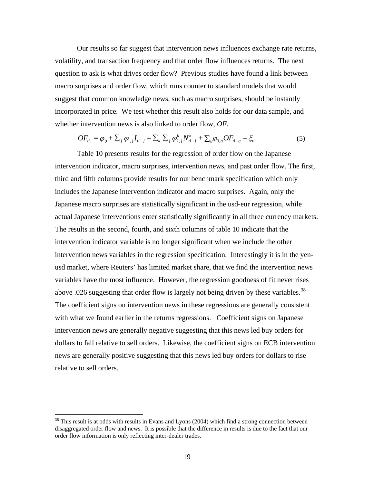Our results so far suggest that intervention news influences exchange rate returns, volatility, and transaction frequency and that order flow influences returns. The next question to ask is what drives order flow? Previous studies have found a link between macro surprises and order flow, which runs counter to standard models that would suggest that common knowledge news, such as macro surprises, should be instantly incorporated in price. We test whether this result also holds for our data sample, and whether intervention news is also linked to order flow, *OF*.

$$
OF_{ii} = \varphi_0 + \sum_j \varphi_{1,j} I_{i-j} + \sum_k \sum_j \varphi_{2,j}^k N_{i-j}^k + \sum_s \varphi_{3,s} OF_{i-s} + \xi_{ii}
$$
(5)

Table 10 presents results for the regression of order flow on the Japanese intervention indicator, macro surprises, intervention news, and past order flow. The first, third and fifth columns provide results for our benchmark specification which only includes the Japanese intervention indicator and macro surprises. Again, only the Japanese macro surprises are statistically significant in the usd-eur regression, while actual Japanese interventions enter statistically significantly in all three currency markets. The results in the second, fourth, and sixth columns of table 10 indicate that the intervention indicator variable is no longer significant when we include the other intervention news variables in the regression specification. Interestingly it is in the yenusd market, where Reuters' has limited market share, that we find the intervention news variables have the most influence. However, the regression goodness of fit never rises above .026 suggesting that order flow is largely not being driven by these variables.<sup>[38](#page-20-0)</sup> The coefficient signs on intervention news in these regressions are generally consistent with what we found earlier in the returns regressions. Coefficient signs on Japanese intervention news are generally negative suggesting that this news led buy orders for dollars to fall relative to sell orders. Likewise, the coefficient signs on ECB intervention news are generally positive suggesting that this news led buy orders for dollars to rise relative to sell orders.

1

<span id="page-20-0"></span> $38$  This result is at odds with results in Evans and Lyons (2004) which find a strong connection between disaggregated order flow and news. It is possible that the difference in results is due to the fact that our order flow information is only reflecting inter-dealer trades.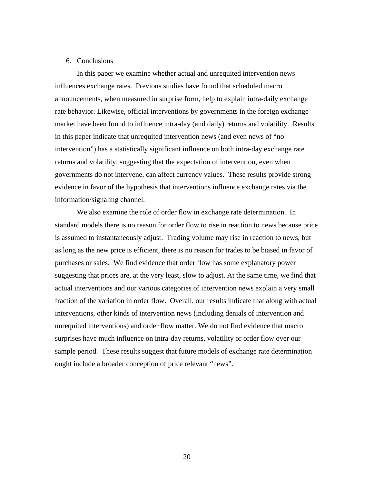# 6. Conclusions

In this paper we examine whether actual and unrequited intervention news influences exchange rates. Previous studies have found that scheduled macro announcements, when measured in surprise form, help to explain intra-daily exchange rate behavior. Likewise, official interventions by governments in the foreign exchange market have been found to influence intra-day (and daily) returns and volatility. Results in this paper indicate that unrequited intervention news (and even news of "no intervention") has a statistically significant influence on both intra-day exchange rate returns and volatility, suggesting that the expectation of intervention, even when governments do not intervene, can affect currency values. These results provide strong evidence in favor of the hypothesis that interventions influence exchange rates via the information/signaling channel.

 We also examine the role of order flow in exchange rate determination. In standard models there is no reason for order flow to rise in reaction to news because price is assumed to instantaneously adjust. Trading volume may rise in reaction to news, but as long as the new price is efficient, there is no reason for trades to be biased in favor of purchases or sales. We find evidence that order flow has some explanatory power suggesting that prices are, at the very least, slow to adjust. At the same time, we find that actual interventions and our various categories of intervention news explain a very small fraction of the variation in order flow. Overall, our results indicate that along with actual interventions, other kinds of intervention news (including denials of intervention and unrequited interventions) and order flow matter. We do not find evidence that macro surprises have much influence on intra-day returns, volatility or order flow over our sample period. These results suggest that future models of exchange rate determination ought include a broader conception of price relevant "news".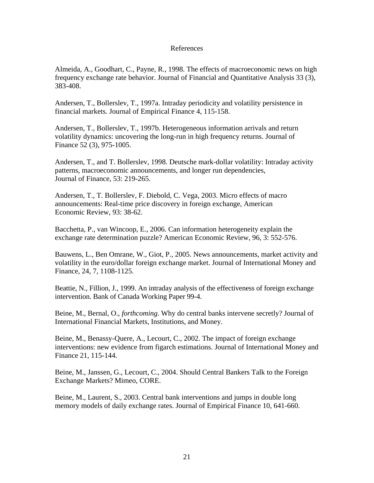# References

Almeida, A., Goodhart, C., Payne, R., 1998. The effects of macroeconomic news on high frequency exchange rate behavior. Journal of Financial and Quantitative Analysis 33 (3), 383-408.

Andersen, T., Bollerslev, T., 1997a. Intraday periodicity and volatility persistence in financial markets. Journal of Empirical Finance 4, 115-158.

Andersen, T., Bollerslev, T., 1997b. Heterogeneous information arrivals and return volatility dynamics: uncovering the long-run in high frequency returns. Journal of Finance 52 (3), 975-1005.

Andersen, T., and T. Bollerslev, 1998. Deutsche mark-dollar volatility: Intraday activity patterns, macroeconomic announcements, and longer run dependencies, Journal of Finance, 53: 219-265.

Andersen, T., T. Bollerslev, F. Diebold, C. Vega, 2003. Micro effects of macro announcements: Real-time price discovery in foreign exchange, American Economic Review, 93: 38-62.

Bacchetta, P., van Wincoop, E., 2006. Can information heterogeneity explain the exchange rate determination puzzle? American Economic Review, 96, 3: 552-576.

Bauwens, L., Ben Omrane, W., Giot, P., 2005. News announcements, market activity and volatility in the euro/dollar foreign exchange market. Journal of International Money and Finance, 24, 7, 1108-1125.

Beattie, N., Fillion, J., 1999. An intraday analysis of the effectiveness of foreign exchange intervention. Bank of Canada Working Paper 99-4.

Beine, M., Bernal, O., *forthcoming*. Why do central banks intervene secretly? Journal of International Financial Markets, Institutions, and Money.

Beine, M., Benassy-Quere, A., Lecourt, C., 2002. The impact of foreign exchange interventions: new evidence from figarch estimations. Journal of International Money and Finance 21, 115-144.

Beine, M., Janssen, G., Lecourt, C., 2004. Should Central Bankers Talk to the Foreign Exchange Markets? Mimeo, CORE.

Beine, M., Laurent, S., 2003. Central bank interventions and jumps in double long memory models of daily exchange rates. Journal of Empirical Finance 10, 641-660.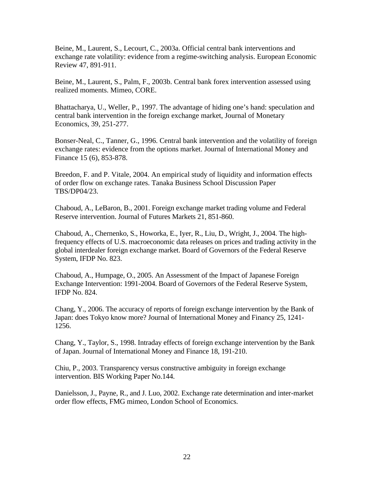Beine, M., Laurent, S., Lecourt, C., 2003a. Official central bank interventions and exchange rate volatility: evidence from a regime-switching analysis. European Economic Review 47, 891-911.

Beine, M., Laurent, S., Palm, F., 2003b. Central bank forex intervention assessed using realized moments. Mimeo, CORE.

Bhattacharya, U., Weller, P., 1997. The advantage of hiding one's hand: speculation and central bank intervention in the foreign exchange market, Journal of Monetary Economics, 39, 251-277.

Bonser-Neal, C., Tanner, G., 1996. Central bank intervention and the volatility of foreign exchange rates: evidence from the options market. Journal of International Money and Finance 15 (6), 853-878.

Breedon, F. and P. Vitale, 2004. An empirical study of liquidity and information effects of order flow on exchange rates. Tanaka Business School Discussion Paper TBS/DP04/23.

Chaboud, A., LeBaron, B., 2001. Foreign exchange market trading volume and Federal Reserve intervention. Journal of Futures Markets 21, 851-860.

Chaboud, A., Chernenko, S., Howorka, E., Iyer, R., Liu, D., Wright, J., 2004. The highfrequency effects of U.S. macroeconomic data releases on prices and trading activity in the global interdealer foreign exchange market. Board of Governors of the Federal Reserve System, IFDP No. 823.

Chaboud, A., Humpage, O., 2005. An Assessment of the Impact of Japanese Foreign Exchange Intervention: 1991-2004. Board of Governors of the Federal Reserve System, IFDP No. 824.

Chang, Y., 2006. The accuracy of reports of foreign exchange intervention by the Bank of Japan: does Tokyo know more? Journal of International Money and Financy 25, 1241- 1256.

Chang, Y., Taylor, S., 1998. Intraday effects of foreign exchange intervention by the Bank of Japan. Journal of International Money and Finance 18, 191-210.

Chiu, P., 2003. Transparency versus constructive ambiguity in foreign exchange intervention. BIS Working Paper No.144.

Danielsson, J., Payne, R., and J. Luo, 2002. Exchange rate determination and inter-market order flow effects, FMG mimeo, London School of Economics.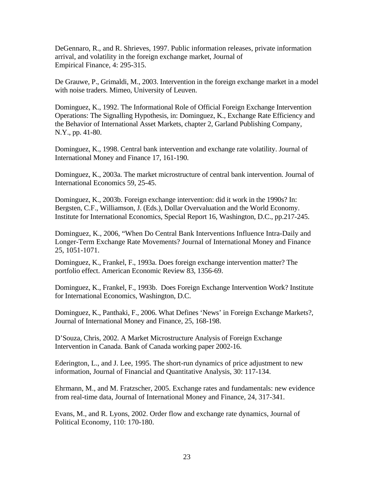DeGennaro, R., and R. Shrieves, 1997. Public information releases, private information arrival, and volatility in the foreign exchange market, Journal of Empirical Finance, 4: 295-315.

De Grauwe, P., Grimaldi, M., 2003. Intervention in the foreign exchange market in a model with noise traders. Mimeo, University of Leuven.

Dominguez, K., 1992. The Informational Role of Official Foreign Exchange Intervention Operations: The Signalling Hypothesis, in: Dominguez, K., Exchange Rate Efficiency and the Behavior of International Asset Markets, chapter 2, Garland Publishing Company, N.Y., pp. 41-80.

Dominguez, K., 1998. Central bank intervention and exchange rate volatility. Journal of International Money and Finance 17, 161-190.

Dominguez, K., 2003a. The market microstructure of central bank intervention. Journal of International Economics 59, 25-45.

Dominguez, K., 2003b. Foreign exchange intervention: did it work in the 1990s? In: Bergsten, C.F., Williamson, J. (Eds.), Dollar Overvaluation and the World Economy. Institute for International Economics, Special Report 16, Washington, D.C., pp.217-245.

Dominguez, K., 2006, "When Do Central Bank Interventions Influence Intra-Daily and Longer-Term Exchange Rate Movements? Journal of International Money and Finance 25, 1051-1071.

Dominguez, K., Frankel, F., 1993a. Does foreign exchange intervention matter? The portfolio effect. American Economic Review 83, 1356-69.

Dominguez, K., Frankel, F., 1993b. Does Foreign Exchange Intervention Work? Institute for International Economics, Washington, D.C.

Dominguez, K., Panthaki, F., 2006. What Defines 'News' in Foreign Exchange Markets?, Journal of International Money and Finance, 25, 168-198.

D'Souza, Chris, 2002. A Market Microstructure Analysis of Foreign Exchange Intervention in Canada. Bank of Canada working paper 2002-16.

Ederington, L., and J. Lee, 1995. The short-run dynamics of price adjustment to new information, Journal of Financial and Quantitative Analysis, 30: 117-134.

Ehrmann, M., and M. Fratzscher, 2005. Exchange rates and fundamentals: new evidence from real-time data, Journal of International Money and Finance, 24, 317-341.

Evans, M., and R. Lyons, 2002. Order flow and exchange rate dynamics, Journal of Political Economy, 110: 170-180.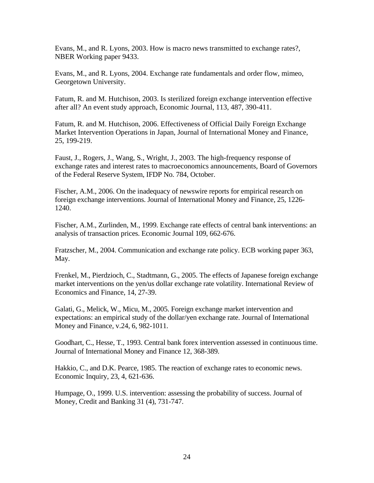Evans, M., and R. Lyons, 2003. How is macro news transmitted to exchange rates?, NBER Working paper 9433.

Evans, M., and R. Lyons, 2004. Exchange rate fundamentals and order flow, mimeo, Georgetown University.

Fatum, R. and M. Hutchison, 2003. Is sterilized foreign exchange intervention effective after all? An event study approach, Economic Journal, 113, 487, 390-411.

Fatum, R. and M. Hutchison, 2006. Effectiveness of Official Daily Foreign Exchange Market Intervention Operations in Japan, Journal of International Money and Finance, 25, 199-219.

Faust, J., Rogers, J., Wang, S., Wright, J., 2003. The high-frequency response of exchange rates and interest rates to macroeconomics announcements, Board of Governors of the Federal Reserve System, IFDP No. 784, October.

Fischer, A.M., 2006. On the inadequacy of newswire reports for empirical research on foreign exchange interventions. Journal of International Money and Finance, 25, 1226- 1240.

Fischer, A.M., Zurlinden, M., 1999. Exchange rate effects of central bank interventions: an analysis of transaction prices. Economic Journal 109, 662-676.

Fratzscher, M., 2004. Communication and exchange rate policy. ECB working paper 363, May.

Frenkel, M., Pierdzioch, C., Stadtmann, G., 2005. The effects of Japanese foreign exchange market interventions on the yen/us dollar exchange rate volatility. International Review of Economics and Finance, 14, 27-39.

Galati, G., Melick, W., Micu, M., 2005. Foreign exchange market intervention and expectations: an empirical study of the dollar/yen exchange rate. Journal of International Money and Finance, v.24, 6, 982-1011.

Goodhart, C., Hesse, T., 1993. Central bank forex intervention assessed in continuous time. Journal of International Money and Finance 12, 368-389.

Hakkio, C., and D.K. Pearce, 1985. The reaction of exchange rates to economic news. Economic Inquiry, 23, 4, 621-636.

Humpage, O., 1999. U.S. intervention: assessing the probability of success. Journal of Money, Credit and Banking 31 (4), 731-747.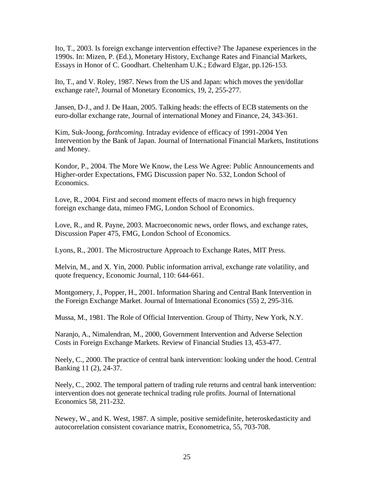Ito, T., 2003. Is foreign exchange intervention effective? The Japanese experiences in the 1990s. In: Mizen, P. (Ed.), Monetary History, Exchange Rates and Financial Markets, Essays in Honor of C. Goodhart. Cheltenham U.K.; Edward Elgar, pp.126-153.

Ito, T., and V. Roley, 1987. News from the US and Japan: which moves the yen/dollar exchange rate?, Journal of Monetary Economics, 19, 2, 255-277.

Jansen, D-J., and J. De Haan, 2005. Talking heads: the effects of ECB statements on the euro-dollar exchange rate, Journal of international Money and Finance, 24, 343-361.

Kim, Suk-Joong, *forthcoming*. Intraday evidence of efficacy of 1991-2004 Yen Intervention by the Bank of Japan. Journal of International Financial Markets, Institutions and Money.

Kondor, P., 2004. The More We Know, the Less We Agree: Public Announcements and Higher-order Expectations, FMG Discussion paper No. 532, London School of Economics.

Love, R., 2004. First and second moment effects of macro news in high frequency foreign exchange data, mimeo FMG, London School of Economics.

Love, R., and R. Payne, 2003. Macroeconomic news, order flows, and exchange rates, Discussion Paper 475, FMG, London School of Economics.

Lyons, R., 2001. The Microstructure Approach to Exchange Rates, MIT Press.

Melvin, M., and X. Yin, 2000. Public information arrival, exchange rate volatility, and quote frequency, Economic Journal, 110: 644-661.

Montgomery, J., Popper, H., 2001. Information Sharing and Central Bank Intervention in the Foreign Exchange Market. Journal of International Economics (55) 2, 295-316.

Mussa, M., 1981. The Role of Official Intervention. Group of Thirty, New York, N.Y.

Naranjo, A., Nimalendran, M., 2000, Government Intervention and Adverse Selection Costs in Foreign Exchange Markets. Review of Financial Studies 13, 453-477.

Neely, C., 2000. The practice of central bank intervention: looking under the hood. Central Banking 11 (2), 24-37.

Neely, C., 2002. The temporal pattern of trading rule returns and central bank intervention: intervention does not generate technical trading rule profits. Journal of International Economics 58, 211-232.

Newey, W., and K. West, 1987. A simple, positive semidefinite, heteroskedasticity and autocorrelation consistent covariance matrix, Econometrica, 55, 703-708.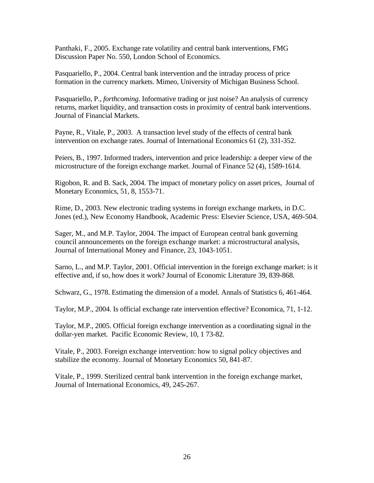Panthaki, F., 2005. Exchange rate volatility and central bank interventions, FMG Discussion Paper No. 550, London School of Economics.

Pasquariello, P., 2004. Central bank intervention and the intraday process of price formation in the currency markets. Mimeo, University of Michigan Business School.

Pasquariello, P., *forthcoming*. Informative trading or just noise? An analysis of currency returns, market liquidity, and transaction costs in proximity of central bank interventions. Journal of Financial Markets.

Payne, R., Vitale, P., 2003. A transaction level study of the effects of central bank intervention on exchange rates. Journal of International Economics 61 (2), 331-352.

Peiers, B., 1997. Informed traders, intervention and price leadership: a deeper view of the microstructure of the foreign exchange market. Journal of Finance 52 (4), 1589-1614.

Rigobon, R. and B. Sack, 2004. The impact of monetary policy on asset prices, Journal of Monetary Economics, 51, 8, 1553-71.

Rime, D., 2003. New electronic trading systems in foreign exchange markets, in D.C. Jones (ed.), New Economy Handbook, Academic Press: Elsevier Science, USA, 469-504.

Sager, M., and M.P. Taylor, 2004. The impact of European central bank governing council announcements on the foreign exchange market: a microstructural analysis, Journal of International Money and Finance, 23, 1043-1051.

Sarno, L., and M.P. Taylor, 2001. Official intervention in the foreign exchange market: is it effective and, if so, how does it work? Journal of Economic Literature 39, 839-868.

Schwarz, G., 1978. Estimating the dimension of a model. Annals of Statistics 6, 461-464.

Taylor, M.P., 2004. Is official exchange rate intervention effective? Economica, 71, 1-12.

Taylor, M.P., 2005. Official foreign exchange intervention as a coordinating signal in the dollar-yen market. Pacific Economic Review, 10, 1 73-82.

Vitale, P., 2003. Foreign exchange intervention: how to signal policy objectives and stabilize the economy. Journal of Monetary Economics 50, 841-87.

Vitale, P., 1999. Sterilized central bank intervention in the foreign exchange market, Journal of International Economics, 49, 245-267.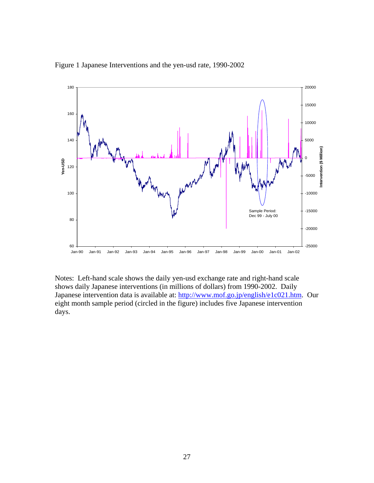

Figure 1 Japanese Interventions and the yen-usd rate, 1990-2002

Notes: Left-hand scale shows the daily yen-usd exchange rate and right-hand scale shows daily Japanese interventions (in millions of dollars) from 1990-2002. Daily Japanese intervention data is available at: [http://www.mof.go.jp/english/e1c021.htm.](http://www.mof.go.jp/english/e1c021.htm) Our eight month sample period (circled in the figure) includes five Japanese intervention days.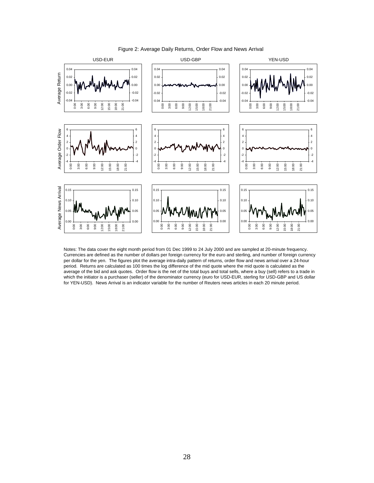

Figure 2: Average Daily Returns, Order Flow and News Arrival

Notes: The data cover the eight month period from 01 Dec 1999 to 24 July 2000 and are sampled at 20-minute frequency. Currencies are defined as the number of dollars per foreign currency for the euro and sterling, and number of foreign currency per dollar for the yen. The figures plot the average intra-daily pattern of returns, order flow and news arrival over a 24-hour period. Returns are calculated as 100 times the log difference of the mid quote where the mid quote is calculated as the average of the bid and ask quotes. Order flow is the net of the total buys and total sells, where a buy (sell) refers to a trade in which the initiator is a purchaser (seller) of the denominator currency (euro for USD-EUR, sterling for USD-GBP and US dollar for YEN-USD). News Arrival is an indicator variable for the number of Reuters news articles in each 20 minute period.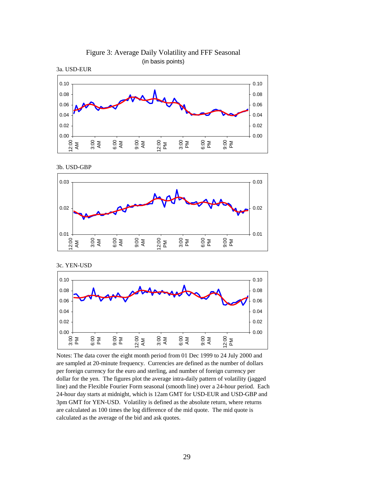

Figure 3: Average Daily Volatility and FFF Seasonal (in basis points)

3b. USD-GBP



3c. YEN-USD



Notes: The data cover the eight month period from 01 Dec 1999 to 24 July 2000 and are sampled at 20-minute frequency. Currencies are defined as the number of dollars per foreign currency for the euro and sterling, and number of foreign currency per dollar for the yen. The figures plot the average intra-daily pattern of volatility (jagged line) and the Flexible Fourier Form seasonal (smooth line) over a 24-hour period. Each 24-hour day starts at midnight, which is 12am GMT for USD-EUR and USD-GBP and 3pm GMT for YEN-USD. Volatility is defined as the absolute return, where returns are calculated as 100 times the log difference of the mid quote. The mid quote is calculated as the average of the bid and ask quotes.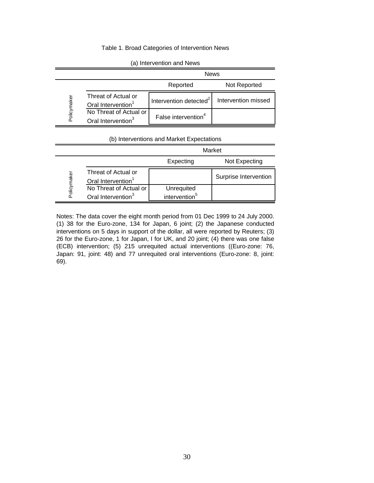### Table 1. Broad Categories of Intervention News

|             |                                                          | <b>News</b>                        |                     |  |  |  |  |  |  |
|-------------|----------------------------------------------------------|------------------------------------|---------------------|--|--|--|--|--|--|
|             |                                                          | Reported                           | Not Reported        |  |  |  |  |  |  |
|             | Threat of Actual or<br>Oral Intervention <sup>1</sup>    | Intervention detected <sup>2</sup> | Intervention missed |  |  |  |  |  |  |
| Policymaker | No Threat of Actual or<br>Oral Intervention <sup>3</sup> | False intervention <sup>4</sup>    |                     |  |  |  |  |  |  |

#### (a) Intervention and News

#### (b) Interventions and Market Expectations

|             |                                                          |                                         | Market                |
|-------------|----------------------------------------------------------|-----------------------------------------|-----------------------|
|             |                                                          | Expecting                               | Not Expecting         |
|             | Threat of Actual or<br>Oral Intervention <sup>1</sup>    |                                         | Surprise Intervention |
| Policymaker | No Threat of Actual or<br>Oral Intervention <sup>3</sup> | Unrequited<br>intervention <sup>5</sup> |                       |

Notes: The data cover the eight month period from 01 Dec 1999 to 24 July 2000. (1) 38 for the Euro-zone, 134 for Japan, 6 joint; (2) the Japanese conducted interventions on 5 days in support of the dollar, all were reported by Reuters; (3) 26 for the Euro-zone, 1 for Japan, I for UK, and 20 joint; (4) there was one false (ECB) intervention; (5) 215 unrequited actual interventions ((Euro-zone: 76, Japan: 91, joint: 48) and 77 unrequited oral interventions (Euro-zone: 8, joint: 69).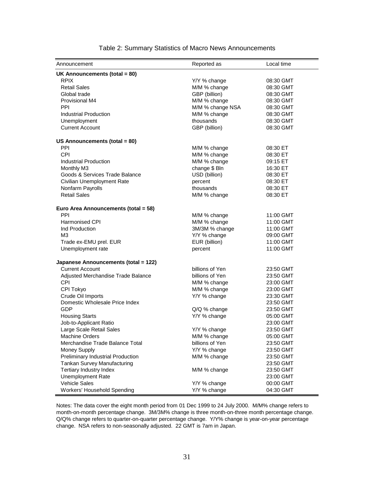| Announcement                         | Reported as      | Local time |
|--------------------------------------|------------------|------------|
| UK Announcements (total = 80)        |                  |            |
| <b>RPIX</b>                          | Y/Y % change     | 08:30 GMT  |
| <b>Retail Sales</b>                  | M/M % change     | 08:30 GMT  |
| Global trade                         | GBP (billion)    | 08:30 GMT  |
| Provisional M4                       | M/M % change     | 08:30 GMT  |
| <b>PPI</b>                           | M/M % change NSA | 08:30 GMT  |
| <b>Industrial Production</b>         | M/M % change     | 08:30 GMT  |
| Unemployment                         | thousands        | 08:30 GMT  |
| <b>Current Account</b>               | GBP (billion)    | 08:30 GMT  |
| US Announcements (total = 80)        |                  |            |
| <b>PPI</b>                           | M/M % change     | 08:30 ET   |
| CPI                                  | M/M % change     | 08:30 ET   |
| Industrial Production                | M/M % change     | 09:15 ET   |
| Monthly M3                           | change \$ Bln    | 16:30 ET   |
| Goods & Services Trade Balance       | USD (billion)    | 08:30 ET   |
| Civilian Unemployment Rate           | percent          | 08:30 ET   |
| Nonfarm Payrolls                     | thousands        | 08:30 ET   |
| <b>Retail Sales</b>                  | M/M % change     | 08:30 ET   |
|                                      |                  |            |
| Euro Area Announcements (total = 58) |                  |            |
| PPI                                  | M/M % change     | 11:00 GMT  |
| <b>Harmonised CPI</b>                | M/M % change     | 11:00 GMT  |
| Ind Production                       | 3M/3M % change   | 11:00 GMT  |
| M3                                   | Y/Y % change     | 09:00 GMT  |
| Trade ex-EMU prel. EUR               | EUR (billion)    | 11:00 GMT  |
| Unemployment rate                    | percent          | 11:00 GMT  |
| Japanese Announcements (total = 122) |                  |            |
| <b>Current Account</b>               | billions of Yen  | 23:50 GMT  |
| Adjusted Merchandise Trade Balance   | billions of Yen  | 23:50 GMT  |
| <b>CPI</b>                           | M/M % change     | 23:00 GMT  |
| CPI Tokyo                            | M/M % change     | 23:00 GMT  |
| Crude Oil Imports                    | Y/Y % change     | 23:30 GMT  |
| Domestic Wholesale Price Index       |                  | 23:50 GMT  |
| <b>GDP</b>                           | Q/Q % change     | 23:50 GMT  |
| <b>Housing Starts</b>                | Y/Y % change     | 05:00 GMT  |
| Job-to-Applicant Ratio               |                  | 23:00 GMT  |
| Large Scale Retail Sales             | Y/Y % change     | 23:50 GMT  |
| <b>Machine Orders</b>                | M/M % change     | 05:00 GMT  |
| Merchandise Trade Balance Total      | billions of Yen  | 23:50 GMT  |
| <b>Money Supply</b>                  | Y/Y % change     | 23:50 GMT  |
| Preliminary Industrial Production    | M/M % change     | 23:50 GMT  |
| Tankan Survey Manufacturing          |                  | 23:50 GMT  |
| Tertiary Industry Index              | M/M % change     | 23:50 GMT  |
| <b>Unemployment Rate</b>             |                  | 23:00 GMT  |
| Vehicle Sales                        | Y/Y % change     | 00:00 GMT  |
| Workers' Household Spending          | Y/Y % change     | 04:30 GMT  |

# Table 2: Summary Statistics of Macro News Announcements

Notes: The data cover the eight month period from 01 Dec 1999 to 24 July 2000. M/M% change refers to month-on-month percentage change. 3M/3M% change is three month-on-three month percentage change. Q/Q% change refers to quarter-on-quarter percentage change. Y/Y% change is year-on-year percentage change. NSA refers to non-seasonally adjusted. 22 GMT is 7am in Japan.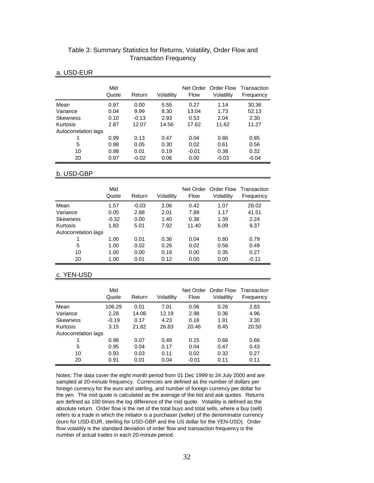# Table 3: Summary Statistics for Returns, Volatility, Order Flow and Transaction Frequency

#### a. USD-EUR

|                      | Mid<br>Quote | Return  | Volatility | <b>Flow</b> | Net Order Order Flow<br>Volatility | Transaction<br>Frequency |
|----------------------|--------------|---------|------------|-------------|------------------------------------|--------------------------|
| Mean                 | 0.97         | 0.00    | 5.55       | 0.27        | 1.14                               | 30.36                    |
| Variance             | 0.04         | 9.99    | 8.30       | 13.04       | 1.73                               | 52.13                    |
| <b>Skewness</b>      | 0.10         | $-0.13$ | 2.93       | 0.53        | 2.04                               | 2.30                     |
| Kurtosis             | 2.87         | 12.07   | 14.56      | 17.62       | 11.62                              | 11.27                    |
| Autocorrelation lags |              |         |            |             |                                    |                          |
|                      | 0.99         | 0.13    | 0.47       | 0.04        | 0.86                               | 0.85                     |
| 5                    | 0.98         | 0.05    | 0.30       | 0.02        | 0.61                               | 0.56                     |
| 10                   | 0.98         | 0.01    | 0.19       | $-0.01$     | 0.38                               | 0.32                     |
| 20                   | 0.97         | $-0.02$ | 0.06       | 0.00        | $-0.03$                            | $-0.04$                  |

# b. USD-GBP

|                      | Mid<br>Quote | Return  | Volatility | <b>Flow</b> | Net Order Order Flow<br>Volatility | Transaction<br>Frequency |
|----------------------|--------------|---------|------------|-------------|------------------------------------|--------------------------|
| Mean                 | 1.57         | $-0.03$ | 2.06       | 0.42        | 1.07                               | 28.02                    |
| Variance             | 0.05         | 2.88    | 2.01       | 7.88        | 1.17                               | 41.51                    |
| <b>Skewness</b>      | $-0.32$      | 0.00    | 1.40       | 0.38        | 1.39                               | 2.24                     |
| Kurtosis             | 1.83         | 5.01    | 7.92       | 11.40       | 5.09                               | 9.37                     |
| Autocorrelation lags |              |         |            |             |                                    |                          |
|                      | 1.00         | 0.01    | 0.36       | 0.04        | 0.80                               | 0.79                     |
| 5                    | 1.00         | 0.02    | 0.26       | 0.02        | 0.56                               | 0.49                     |
| 10                   | 1.00         | 0.00    | 0.19       | 0.00        | 0.35                               | 0.27                     |
| 20                   | 1.00         | 0.01    | 0.12       | 0.00        | 0.00                               | $-0.11$                  |

## c. YEN-USD

|                      | Mid<br>Quote | Return | Volatility | Net Order<br><b>Flow</b> | Order Flow<br>Volatility | Transaction<br>Frequency |
|----------------------|--------------|--------|------------|--------------------------|--------------------------|--------------------------|
| Mean                 | 106.29       | 0.01   | 7.01       | 0.06                     | 0.26                     | 2.83                     |
| Variance             | 2.28         | 14.06  | 12.19      | 2.98                     | 0.36                     | 4.96                     |
| <b>Skewness</b>      | $-0.19$      | 0.17   | 4.23       | 0.18                     | 1.91                     | 3.30                     |
| Kurtosis             | 3.15         | 21.82  | 26.83      | 20.46                    | 8.45                     | 20.50                    |
| Autocorrelation lags |              |        |            |                          |                          |                          |
|                      | 0.98         | 0.07   | 0.49       | 0.15                     | 0.66                     | 0.66                     |
| 5                    | 0.95         | 0.04   | 0.17       | 0.04                     | 0.47                     | 0.43                     |
| 10                   | 0.93         | 0.03   | 0.11       | 0.02                     | 0.32                     | 0.27                     |
| 20                   | 0.91         | 0.01   | 0.04       | $-0.01$                  | 0.11                     | 0.11                     |

Notes: The data cover the eight month period from 01 Dec 1999 to 24 July 2000 and are sampled at 20-minute frequency. Currencies are defined as the number of dollars per foreign currency for the euro and sterling, and number of foreign currency per dollar for the yen. The mid quote is calculated as the average of the bid and ask quotes. Returns are defined as 100 times the log difference of the mid quote. Volatility is defined as the absolute return. Order flow is the net of the total buys and total sells, where a buy (sell) refers to a trade in which the initiator is a purchaser (seller) of the denominator currency (euro for USD-EUR, sterling for USD-GBP and the US dollar for the YEN-USD). Order flow volatility is the standard deviation of order flow and transaction frequency is the number of actual trades in each 20-minute period.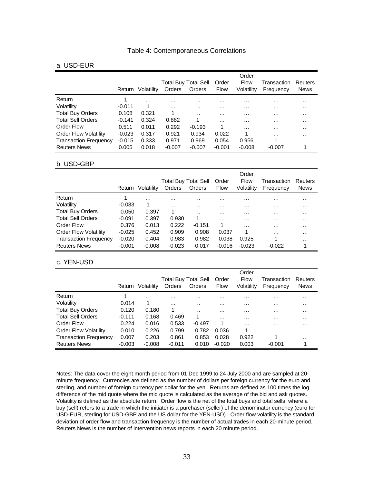# Table 4: Contemporaneous Correlations

#### a. USD-EUR

|                              |          |            |          |                                       |                      | Order                     |                          |                        |
|------------------------------|----------|------------|----------|---------------------------------------|----------------------|---------------------------|--------------------------|------------------------|
|                              | Return   | Volatility | Orders   | <b>Total Buy Total Sell</b><br>Orders | Order<br><b>Flow</b> | <b>Flow</b><br>Volatilitv | Transaction<br>Frequency | Reuters<br><b>News</b> |
| Return                       |          | .          | .        | .                                     | .                    | $\cdots$                  | $\cdots$                 | .                      |
| Volatility                   | $-0.011$ | 1          | $\cdots$ | $\cdots$                              | .                    | $\cdots$                  | $\cdots$                 | .                      |
| <b>Total Buy Orders</b>      | 0.108    | 0.321      |          | $\cdots$                              | $\cdots$             | $\cdots$                  | $\cdots$                 | .                      |
| <b>Total Sell Orders</b>     | $-0.141$ | 0.324      | 0.882    | 1                                     | $\cdots$             | $\cdots$                  | $\cdots$                 | .                      |
| Order Flow                   | 0.511    | 0.011      | 0.292    | $-0.193$                              |                      | $\cdots$                  | $\cdots$                 | .                      |
| <b>Order Flow Volatility</b> | $-0.023$ | 0.317      | 0.921    | 0.934                                 | 0.022                |                           | $\cdots$                 | .                      |
| <b>Transaction Frequency</b> | $-0.015$ | 0.333      | 0.971    | 0.969                                 | 0.054                | 0.956                     |                          | .                      |
| <b>Reuters News</b>          | 0.005    | 0.018      | $-0.007$ | $-0.007$                              | $-0.001$             | $-0.008$                  | $-0.007$                 | 1                      |

#### b. USD-GBP

|                              |          |            |                      |          |             | Order       |             |             |
|------------------------------|----------|------------|----------------------|----------|-------------|-------------|-------------|-------------|
|                              |          |            | Total Buy Total Sell |          | Order       | <b>Flow</b> | Transaction | Reuters     |
|                              | Return   | Volatility | Orders               | Orders   | <b>Flow</b> | Volatility  | Frequency   | <b>News</b> |
| Return                       |          | $\cdots$   | .                    | .        | $\cdots$    | $\cdots$    | .           | .           |
| Volatility                   | $-0.033$ | 1          | $\cdots$             | $\cdots$ | $\cdots$    | $\cdots$    | $\cdots$    | .           |
| <b>Total Buy Orders</b>      | 0.050    | 0.397      |                      | $\cdots$ | $\cdots$    | $\cdots$    | $\cdots$    | .           |
| <b>Total Sell Orders</b>     | $-0.091$ | 0.397      | 0.930                | 1        | $\cdots$    | $\cdots$    | $\cdots$    | .           |
| Order Flow                   | 0.376    | 0.013      | 0.222                | -0.151   | 1           | $\cdots$    | $\cdots$    | .           |
| <b>Order Flow Volatility</b> | $-0.025$ | 0.452      | 0.909                | 0.908    | 0.037       | 1           | $\cdots$    | $\cdots$    |
| <b>Transaction Frequency</b> | $-0.020$ | 0.404      | 0.983                | 0.982    | 0.038       | 0.925       |             | .           |
| <b>Reuters News</b>          | $-0.001$ | $-0.008$   | $-0.023$             | $-0.017$ | $-0.016$    | $-0.023$    | $-0.022$    |             |

# c. YEN-USD

|                              |          |            |                             |          |             | Order       |             |             |
|------------------------------|----------|------------|-----------------------------|----------|-------------|-------------|-------------|-------------|
|                              |          |            | <b>Total Buy Total Sell</b> |          | Order       | <b>Flow</b> | Transaction | Reuters     |
|                              | Return   | Volatility | Orders                      | Orders   | <b>Flow</b> | Volatilitv  | Frequency   | <b>News</b> |
| Return                       |          | .          | $\cdots$                    | $\cdots$ | $\cdots$    | $\cdots$    | .           | $\cdots$    |
| Volatility                   | 0.014    | 1          | $\cdots$                    | $\cdots$ | $\cdots$    | .           | .           | .           |
| <b>Total Buy Orders</b>      | 0.120    | 0.180      | 1                           | $\cdots$ | $\cdots$    | .           | .           | $\cdots$    |
| <b>Total Sell Orders</b>     | $-0.111$ | 0.168      | 0.469                       | 1        | $\cdots$    | .           | .           | $\cdots$    |
| Order Flow                   | 0.224    | 0.016      | 0.533                       | $-0.497$ | 1           | $\cdots$    | $\cdots$    | $\cdots$    |
| <b>Order Flow Volatility</b> | 0.010    | 0.226      | 0.799                       | 0.782    | 0.036       | 1           | .           | $\cdots$    |
| <b>Transaction Frequency</b> | 0.007    | 0.203      | 0.861                       | 0.853    | 0.028       | 0.922       |             | $\cdots$    |
| <b>Reuters News</b>          | $-0.003$ | $-0.008$   | $-0.011$                    | 0.010    | $-0.020$    | 0.003       | $-0.001$    | 1           |

Notes: The data cover the eight month period from 01 Dec 1999 to 24 July 2000 and are sampled at 20 minute frequency. Currencies are defined as the number of dollars per foreign currency for the euro and sterling, and number of foreign currency per dollar for the yen. Returns are defined as 100 times the log difference of the mid quote where the mid quote is calculated as the average of the bid and ask quotes. Volatility is defined as the absolute return. Order flow is the net of the total buys and total sells, where a buy (sell) refers to a trade in which the initiator is a purchaser (seller) of the denominator currency (euro for USD-EUR, sterling for USD-GBP and the US dollar for the YEN-USD). Order flow volatility is the standard deviation of order flow and transaction frequency is the number of actual trades in each 20-minute period. Reuters News is the number of intervention news reports in each 20 minute period.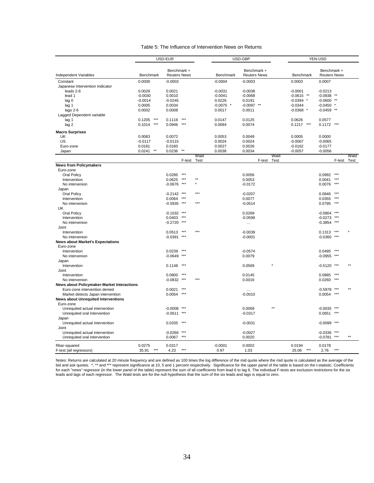| Table 5: The Influence of Intervention News on Returns |  |
|--------------------------------------------------------|--|
|--------------------------------------------------------|--|

|                                            | USD-EUR   |                 |               |                                    | USD-GBP |           | YEN-USD                            |              |                   |                                    |                   |      |
|--------------------------------------------|-----------|-----------------|---------------|------------------------------------|---------|-----------|------------------------------------|--------------|-------------------|------------------------------------|-------------------|------|
| Independent Variables                      | Benchmark |                 |               | Benchmark +<br><b>Reuters News</b> |         | Benchmark | Benchmark +<br><b>Reuters News</b> |              | Benchmark         | Benchmark +<br><b>Reuters News</b> |                   |      |
| Constant                                   | 0.0000    |                 | $-0.0003$     |                                    |         | $-0.0004$ | $-0.0003$                          |              | 0.0003            | 0.0007                             |                   |      |
| Japanese Intervention Indicator            |           |                 |               |                                    |         |           |                                    |              |                   |                                    |                   |      |
| leads 2-6                                  | 0.0026    |                 | 0.0021        |                                    |         | $-0.0031$ | $-0.0038$                          |              | $-0.0001$         | $-0.0213$                          |                   |      |
| lead 1                                     | $-0.0030$ |                 | 0.0010        |                                    |         | $-0.0041$ | $-0.0068$                          |              | $**$<br>$-0.0615$ | $-0.0938$ **                       |                   |      |
| Iaq <sub>0</sub>                           | $-0.0014$ |                 | $-0.0245$     |                                    |         | 0.0226    | 0.0191                             |              | $-0.0394$         | $-0.0600$                          | $\star\star$      |      |
| lag 1                                      | 0.0005    |                 | 0.0034        |                                    |         | $-0.0075$ | $-0.0097$                          |              | $-0.0344$         | $-0.0450$ *                        |                   |      |
| lags 2-6                                   | 0.0002    |                 | 0.0008        |                                    |         | 0.0017    | 0.0011                             |              | $-0.0368$ *       | $-0.0459$ **                       |                   |      |
| Lagged Dependent variable                  |           |                 |               |                                    |         |           |                                    |              |                   |                                    |                   |      |
| lag 1                                      | 0.1205    | $***$           | 0.1116        | $* * *$                            |         | 0.0147    | 0.0125                             |              | 0.0626            | 0.0577                             |                   |      |
| lag <sub>2</sub>                           | 0.1014    | $***$           | 0.0946        | $***$                              |         | 0.0084    | 0.0074                             |              | ***<br>0.1217     | $0.1172$ ***                       |                   |      |
| <b>Macro Surprises</b>                     |           |                 |               |                                    |         |           |                                    |              |                   |                                    |                   |      |
| <b>UK</b>                                  | 0.0083    |                 | 0.0072        |                                    |         | 0.0053    | 0.0049                             |              | 0.0005            | 0.0000                             |                   |      |
| US                                         | $-0.0117$ |                 | $-0.0115$     |                                    |         | 0.0024    | 0.0024                             |              | $-0.0067$         | $-0.0065$                          |                   |      |
| Euro-zone                                  | 0.0181    |                 | 0.0160        |                                    |         | 0.0027    | 0.0026                             |              | $-0.0162$         | $-0.0177$                          |                   |      |
| Japan                                      | 0.0241    | $^{\star\star}$ | 0.0236        | $\star\star$                       |         | 0.0038    | 0.0034                             |              | $-0.0057$         | $-0.0056$                          |                   |      |
|                                            |           |                 |               |                                    | Wald    |           |                                    | Wald         |                   |                                    |                   | Wald |
|                                            |           |                 |               | F-test                             | Test    |           | F-test                             | Test         |                   |                                    | F-test Test       |      |
| <b>News from Policymakers</b>              |           |                 |               |                                    |         |           |                                    |              |                   |                                    |                   |      |
| Euro-zone                                  |           |                 |               |                                    |         |           |                                    |              |                   |                                    |                   |      |
| Oral Policy                                |           |                 | 0.0285        | ***                                |         |           | 0.0056                             |              |                   | 0.0992                             | $***$             |      |
| Intervention                               |           |                 | 0.0625        | $***$                              | **      |           | 0.0053                             |              |                   | 0.0041                             | $\star\star\star$ |      |
| No intervenion                             |           |                 | $-0.0676$     | ***                                |         |           | $-0.0172$                          |              |                   | 0.0076                             | ***               |      |
| Japan                                      |           |                 |               |                                    |         |           |                                    |              |                   |                                    |                   |      |
| Oral Policy                                |           |                 | $-0.2142$ *** |                                    | $***$   |           | $-0.0207$                          |              |                   | 0.0846                             | $***$             |      |
| Intervention                               |           |                 | 0.0064        | $***$                              |         |           | 0.0077                             |              |                   | 0.0355                             | $***$             |      |
| No intervenion                             |           |                 | $-0.5935$     | $***$                              | ***     |           | $-0.0514$                          |              |                   | 0.0795                             | $***$             |      |
| UK                                         |           |                 |               |                                    |         |           |                                    |              |                   |                                    |                   |      |
| Oral Policy                                |           |                 | $-0.1032$ *** |                                    |         |           | 0.0269                             |              |                   | $-0.0804$                          | $***$             |      |
| Intervention                               |           |                 | 0.0403        | $***$                              |         |           | $-0.0599$                          |              |                   | $-0.0273$                          | $***$             |      |
| No intervenion                             |           |                 | $-0.2720$ *** |                                    |         |           | $\cdots$                           |              |                   | $-0.3854$                          | $***$             |      |
| Joint                                      |           |                 |               |                                    |         |           |                                    |              |                   |                                    |                   |      |
| Intervention                               |           |                 | 0.0513        | ***                                | ***     |           | $-0.0039$                          |              |                   | 0.1313                             | $***$             |      |
| No intervenion                             |           |                 | $-0.0391$ *** |                                    |         |           | $-0.0001$                          |              |                   | $-0.0360$ ***                      |                   |      |
| <b>News about Market's Expectations</b>    |           |                 |               |                                    |         |           |                                    |              |                   |                                    |                   |      |
| Euro-zone                                  |           |                 |               |                                    |         |           |                                    |              |                   |                                    |                   |      |
| Intervention                               |           |                 | 0.0239        | ***                                |         |           | $-0.0574$                          |              |                   | 0.0495                             | ***               |      |
| No intervenion                             |           |                 | $-0.0649$     | $***$                              |         |           | 0.0079                             |              |                   | $-0.0955$                          | $* * *$           |      |
| Japan                                      |           |                 |               |                                    |         |           |                                    |              |                   |                                    |                   |      |
| Intervention                               |           |                 | 0.1148        | ***                                |         |           | 0.0569                             |              |                   | $-0.5120$                          | ***               |      |
| Joint                                      |           |                 |               |                                    |         |           |                                    |              |                   |                                    |                   |      |
| Intervention                               |           |                 | 0.0800        | ***                                |         |           | 0.0145                             |              |                   | 0.0885                             | ***               |      |
| No intervenion                             |           |                 | $-0.0832$     | ***                                | ***     |           | 0.0016                             |              |                   | 0.0260                             | ***               |      |
| News about Policymaker-Market Interactions |           |                 |               |                                    |         |           |                                    |              |                   |                                    |                   |      |
| Euro-zone intervention denied              |           |                 | 0.0021        | $***$                              |         |           | $\cdots$                           |              |                   | $-0.5978$                          | ***               |      |
| Market detects Japan intervention          |           |                 | 0.0054        | ***                                |         |           | $-0.0010$                          |              |                   | 0.0054                             | $***$             |      |
| <b>News about Unrequited Interventions</b> |           |                 |               |                                    |         |           |                                    |              |                   |                                    |                   |      |
| Euro-zone                                  |           |                 |               |                                    |         |           |                                    |              |                   |                                    |                   |      |
| Unrequited actual intervention             |           |                 | $-0.0008$ *** |                                    |         |           | 0.0069                             | $\star\star$ |                   | $-0.0035$ ***                      |                   |      |
| Unrequited oral intervention               |           |                 | $-0.0611$     | $***$                              |         |           | $-0.0317$                          |              |                   | 0.0651                             | $***$             |      |
| Japan                                      |           |                 |               |                                    |         |           |                                    |              |                   |                                    |                   |      |
| Unrequited actual intervention             |           |                 | 0.0335        | ***                                |         |           | $-0.0031$                          |              |                   | $-0.0099$                          | $***$             |      |
| Joint                                      |           |                 |               |                                    |         |           |                                    |              |                   |                                    |                   |      |
| Unrequited actual intervention             |           |                 | $-0.0266$ *** |                                    |         |           | $-0.0027$                          |              |                   | $-0.0336$                          | $***$             |      |
| Unrequited oral intervention               |           |                 | 0.0067        | $***$                              |         |           | 0.0020                             |              |                   | $-0.0781$                          | $***$             | **   |
|                                            |           |                 |               |                                    |         |           |                                    |              |                   |                                    |                   |      |
| Rbar-squared                               | 0.0275    |                 | 0.0317        |                                    |         | $-0.0001$ | 0.0002                             |              | 0.0194            | 0.0178                             |                   |      |
| F-test (all regressors)                    | 35.91     | ***             | 4.23          | ***                                |         | 0.97      | 1.03                               |              | ***<br>25.06      | 2.76                               | $***$             |      |

Notes: Returns are calculated at 20 minute frequency and are defined as 100 times the log difference of the mid quote where the mid quote is calculated as the average of the bid and ask quotes. \*, \*\* and \*\*\* represent significance at 10, 5 and 1 percent respectively. Significance for the upper panel of the table is based on the t-statistic. Coefficients<br>for each "news" regressor (in the lower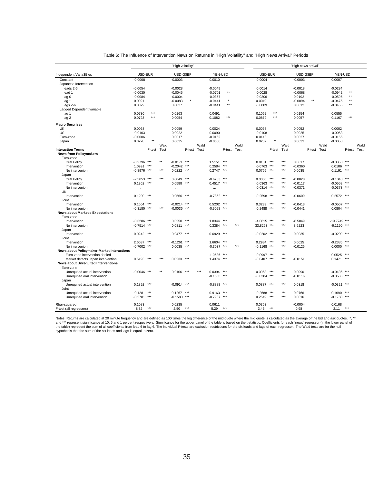|                                                                                    | "High volatility" |              |              |                    |        |      |              | "High news arrival" |      |               |              |              |                       |              |         |               |        |      |
|------------------------------------------------------------------------------------|-------------------|--------------|--------------|--------------------|--------|------|--------------|---------------------|------|---------------|--------------|--------------|-----------------------|--------------|---------|---------------|--------|------|
| Independent Varia\$Bles                                                            | USD-EUR           |              |              | USD-G\$BP          |        |      | YEN-USD      |                     |      | USD-EUR       |              |              | USD-G\$BP             |              | YEN-USD |               |        |      |
| Constant                                                                           | $-0.0008$         |              |              | $-0.0003$          |        |      | 0.0010       |                     |      | $-0.0004$     |              |              | $-0.0003$             |              |         | 0.0007        |        |      |
| Japanese Intervention                                                              |                   |              |              |                    |        |      |              |                     |      |               |              |              |                       |              |         |               |        |      |
| leads 2-6                                                                          | $-0.0054$         |              |              | $-0.0028$          |        |      | $-0.0049$    |                     |      | $-0.0014$     |              |              | $-0.0018$             |              |         | $-0.0234$     |        |      |
| lead 1                                                                             | $-0.0030$         |              |              | $-0.0045$          |        |      | $-0.0701$    | $\star\star$        |      | $-0.0028$     |              |              | $-0.0068$             |              |         | $-0.0942$     | $**$   |      |
| lag 0                                                                              | $-0.0084$         |              |              | $-0.0004$          |        |      | $-0.0357$    |                     |      | $-0.0206$     |              |              | 0.0192                |              |         | $-0.0595$     | $**$   |      |
| lag 1                                                                              | 0.0021            |              |              | $-0.0083$          | ٠      |      | $-0.0441$    | $\star$             |      | 0.0049        |              |              | $-0.0094$             | $\star\star$ |         | $-0.0475$     | $**$   |      |
| lags 2-6                                                                           | 0.0029            |              |              | 0.0027             |        |      | $-0.0441$    | $\star\star$        |      | $-0.0009$     |              |              | 0.0012                |              |         | $-0.0455$     | $**$   |      |
| Lagged Dependent variable                                                          |                   |              |              |                    |        |      |              |                     |      |               |              |              |                       |              |         |               |        |      |
| lag 1                                                                              | 0.0730            | ***          |              | 0.0163             |        |      | 0.0491       |                     |      | 0.1052        | ***          |              | 0.0154                |              |         | 0.0555        |        |      |
| lag <sub>2</sub>                                                                   | 0.0723            | ***          |              | 0.0054             |        |      | 0.1082       | ***                 |      | 0.0879        | ***          |              | 0.0057                |              |         | 0.1167        | ***    |      |
| <b>Macro Surprises</b>                                                             |                   |              |              |                    |        |      |              |                     |      |               |              |              |                       |              |         |               |        |      |
| UK                                                                                 | 0.0068            |              |              | 0.0059             |        |      | 0.0024       |                     |      | 0.0068        |              |              | 0.0052                |              |         | 0.0002        |        |      |
| US                                                                                 | $-0.0103$         |              |              | 0.0022             |        |      | 0.0090       |                     |      | $-0.0108$     |              |              | 0.0025                |              |         | $-0.0063$     |        |      |
| Euro-zone                                                                          | $-0.0006$         |              |              | 0.0017             |        |      | $-0.0162$    |                     |      | 0.0148        |              |              | 0.0027                |              |         | $-0.0166$     |        |      |
| Japan                                                                              | 0.0228            | $\star\star$ |              | 0.0035             |        |      | $-0.0056$    |                     |      | 0.0232        | $\star\star$ |              | 0.0033                |              |         | $-0.0050$     |        |      |
|                                                                                    |                   |              | Wald         |                    |        | Wald |              |                     | Wald |               |              | Wald         |                       |              | Wald    |               |        | Wald |
| <b>Interaction Terms</b>                                                           |                   | F-test       | Test         |                    | F-test | Test |              | F-test              | Test |               | F-test       | Test         |                       | F-test       | Test    |               | F-test | Test |
| <b>News from Policymakers</b>                                                      |                   |              |              |                    |        |      |              |                     |      |               |              |              |                       |              |         |               |        |      |
| Euro-zone                                                                          |                   |              |              |                    |        |      |              |                     |      |               |              |              |                       |              |         |               |        |      |
| <b>Oral Policy</b>                                                                 | $-0.2796$         | ***          | $\star\star$ | $-0.0171$ ***      |        |      | 1.5151       | $***$               |      | 0.0131        | $***$        | ***          | 0.0017                |              |         | $-0.0358$ *** |        |      |
| Intervention                                                                       | 1.0991            | $***$        |              | $-0.2042$ ***      |        |      | 0.2584       | ***                 |      | $-0.0763$     | $***$        | $***$        | $-0.0360$             |              |         | 0.0106        | $***$  |      |
| No intervenion                                                                     | $-0.8976$         | ***          | 7.78         | $0.0222$ ***       |        |      | 0.2747       | ***                 |      | 0.0765        | $***$        | ***          | 0.0035                |              |         | 0.1191        | $***$  |      |
| Japan                                                                              |                   |              |              |                    |        |      |              |                     |      |               |              |              |                       |              |         |               |        |      |
| <b>Oral Policy</b>                                                                 | $-2.5053$         | ***          | 7.78         | 0.0049             | ***    |      | $-0.6283$    | ***                 |      | 0.0350        | ***          |              | $-0.0028$             |              |         | $-0.1048$     | ***    |      |
| Intervention                                                                       | 0.1362            | ***          |              | 0.0588             | ***    |      | 0.4517       | ***                 |      | $-0.0363$     | $***$        | ***          | $-0.0117$             |              |         | $-0.0558$     | $***$  |      |
| No intervenion                                                                     | $\cdots$          |              |              | $\cdots$           |        |      | $\cdots$     |                     |      | $-0.0314$     | ***          | ***          | $-0.0371$             |              |         | $-0.0373$     | ***    |      |
| UK                                                                                 |                   |              |              |                    |        |      |              |                     |      |               |              |              |                       |              |         |               |        |      |
| Intervention                                                                       | 0.1290            | ***          |              | 0.0566             | ***    |      | $-0.7862$    | ***                 |      | $-0.2598$     | ***          | ***          | $-0.0609$             |              |         | 0.2572        | ***    |      |
| Joint                                                                              |                   |              |              |                    |        |      |              |                     |      |               |              |              |                       |              |         |               |        |      |
| Intervention                                                                       | 0.1564            | ***          |              | $-0.0214$ ***      |        |      | 0.5202       | ***                 |      | 0.3233        | ***          | ***          | $-0.0413$             |              |         | $-0.0507$ *** |        |      |
| No intervenion                                                                     | $-0.3180$ ***     |              | ***          | $-0.0036$ ***      |        |      | $-0.9098$    | ***                 |      | $-0.2488$ *** |              | ***          | $-0.0441$             |              |         | $0.0804$ ***  |        |      |
| <b>News about Market's Expectations</b>                                            |                   |              |              |                    |        |      |              |                     |      |               |              |              |                       |              |         |               |        |      |
| Euro-zone                                                                          |                   |              |              |                    |        |      |              |                     |      |               |              |              |                       |              |         |               |        |      |
| Intervention                                                                       | $-0.3286$         | ***          |              | 0.0250             | ***    |      | 1.8344       | ***                 | ***  | $-4.0615$ *** |              | ***<br>$***$ | $-8.5049$             |              |         | -19.7749 ***  |        |      |
| No intervenion                                                                     | $-0.7514$         | ***          |              | 0.0811             | ***    |      | 0.3384       | ***                 |      | 33.8263 ***   |              |              | 8.9223                |              |         | $-6.1190$ *** |        |      |
| Japan                                                                              |                   |              |              |                    |        |      |              | ***                 |      |               |              | ***          |                       |              |         |               | ***    |      |
| Intervention                                                                       | 0.0242            | ***          |              | 0.0477             | ***    |      | 0.6929       |                     |      | -0.0202       | ***          |              | 0.0035                |              |         | $-0.0209$     |        |      |
| Joint                                                                              |                   | ***          |              |                    | ***    |      |              | ***                 |      |               | $***$        |              |                       |              |         |               | ***    |      |
| Intervention                                                                       | 2.6037            |              |              | $-0.1261$          | ***    |      | 1.6604       | ***                 | ***  | 0.2984        | ***          | ***          | 0.0025                |              |         | $-0.2385$     | ***    |      |
| No intervenion                                                                     | $-0.7002$ ***     |              |              | 0.0035             |        |      | $-0.3037$    |                     |      | $-0.1168$     |              |              | $-0.0125$             |              |         | 0.0000        |        |      |
| <b>News about Policymaker-Market Interactions</b><br>Euro-zone intervention denied |                   |              |              |                    |        |      | $-1.0636$    | ***                 |      | $-0.0997$ *** |              | ***          |                       |              |         | 0.0525        | ***    |      |
| Market detects Japan intervention                                                  | 0.5193            | ***          | ***          | $\cdots$<br>0.0233 | ***    |      | 1.4374       | ***                 |      | $-0.0407$ *** |              | ***          | $\cdots$<br>$-0.0151$ |              |         | 0.1471        | ***    |      |
| <b>News about Unrequited Interventions</b>                                         |                   |              |              |                    |        |      |              |                     |      |               |              |              |                       |              |         |               |        |      |
| Euro-zone                                                                          |                   |              |              |                    |        |      |              |                     |      |               |              |              |                       |              |         |               |        |      |
| Unrequited actual intervention                                                     | -0.0046           | ***          | ××           | 0.0106             | ***    | ***  | 0.0394       | ***                 |      | 0.0063        | ***          | ***          | 0.0090                |              |         | $-0.0136$ *** |        |      |
| Unrequited oral intervention                                                       |                   |              |              |                    |        |      | $-0.1560$    | ***                 |      | $-0.0384$     | ***          | ***          | $-0.0116$             |              |         | $-0.0563$ *** |        |      |
| Japan                                                                              | $\cdots$          |              |              | $\cdots$           |        |      |              |                     |      |               |              |              |                       |              |         |               |        |      |
| Unrequited actual intervention                                                     | 0.1892            | ***          |              | $-0.0914$          | ***    |      | $-0.8888$    | ***                 |      | 0.0887        | ***          | ***          | 0.0318                |              |         | $-0.0321$ *** |        |      |
| Joint                                                                              |                   |              |              |                    |        |      |              |                     |      |               |              |              |                       |              |         |               |        |      |
| Unrequited actual intervention                                                     | $-0.1281$         | ***          |              | $0.1267$ ***       |        |      | $0.9163$ *** |                     |      | $-0.2688$     | ***          | $***$        | 0.0766                |              |         | $0.1690$ ***  |        |      |
| Unrequited oral intervention                                                       | $-0.2781$         | $***$        |              | $-0.1580$          | $***$  |      | $-0.7987$    | ***                 |      | 0.2649        | $***$        | $***$        | 0.0016                |              |         | $-0.1750$     | $***$  |      |
|                                                                                    |                   |              |              |                    |        |      |              |                     |      |               |              |              |                       |              |         |               |        |      |
| Rbar-squared                                                                       | 0.1083            |              |              | 0.0235             |        |      | 0.0611       |                     |      | 0.0363        |              |              | $-0.0004$             |              |         | 0.0168        |        |      |
| F-test (all regressors)                                                            | 8.82              | ***          |              | 2.50               | ***    |      | 5.29         | ***                 |      | 3.45          | $* * *$      |              | 0.98                  |              |         | 2.11          | ***    |      |

Notes: Returns are calculated at 20 minute frequency and are defined as 100 times the log difference of the mid quote where the mid quote is calculated as the average of the bid and ask quotes. \*, \*\*<br>and \*\*\* represent sign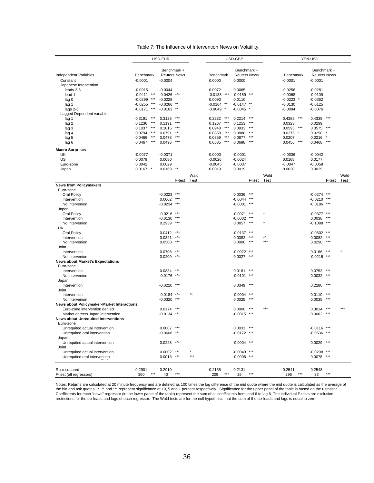| Table 7: The Influence of Intervention News on Volatility |  |  |  |  |
|-----------------------------------------------------------|--|--|--|--|
|-----------------------------------------------------------|--|--|--|--|

|                                                         | USD-EUR          |                        |                     | USD-GBP |                    |                     | YEN-USD |      |               |                               |              |      |
|---------------------------------------------------------|------------------|------------------------|---------------------|---------|--------------------|---------------------|---------|------|---------------|-------------------------------|--------------|------|
|                                                         |                  |                        |                     |         |                    |                     |         |      |               |                               |              |      |
|                                                         |                  |                        | Benchmark +         |         |                    | Benchmark +         |         |      |               | Benchmark +                   |              |      |
| Independent Variables                                   | Benchmark        |                        | <b>Reuters News</b> |         | Benchmark          | <b>Reuters News</b> |         |      | Benchmark     | <b>Reuters News</b>           |              |      |
| Constant<br>Japanese Intervention                       | $-0.0001$        | $-0.0004$              |                     |         | 0.0000             | 0.0000              |         |      | $-0.0001$     | $-0.0001$                     |              |      |
| leads 2-6                                               | $-0.0015$        | $-0.0044$              |                     |         | 0.0072             | 0.0065              |         |      | $-0.0256$     | $-0.0281$                     |              |      |
| lead 1                                                  | $-0.0411$ ***    | $-0.0426$              | ***                 |         | $***$<br>$-0.0133$ | $-0.0159$           | ***     |      | $-0.0068$     | $-0.0109$                     |              |      |
| lag 0                                                   | $-0.0299$ ***    | $-0.0228$              |                     |         | 0.0093             | 0.0110              |         |      | $-0.0223$ *   | $-0.0352$                     |              |      |
| lag 1                                                   | ***<br>$-0.0255$ | $-0.0266$ **           |                     |         | $-0.0164$<br>**    | $-0.0147$ **        |         |      | $-0.0130$     | $-0.0125$                     |              |      |
| lags 2-6                                                | $-0.0171$ ***    | $-0.0163$ **           |                     |         | $-0.0049$          | $-0.0045$           |         |      | $-0.0094$     | $-0.0076$                     |              |      |
| Lagged Dependent variable                               |                  |                        |                     |         |                    |                     |         |      |               |                               |              |      |
| lag 1                                                   | 0.3191<br>***    | 0.3126                 | ***                 |         | 0.2232<br>***      | 0.2214              | ***     |      | ***<br>0.4385 | 0.4339                        | ***          |      |
| lag 2                                                   | ***<br>0.1236    | 0.1191                 | ***                 |         | 0.1267<br>***      | 0.1253              | ***     |      | 0.0323        | 0.0299                        |              |      |
| lag 3                                                   | ***<br>0.1037    | 0.1015                 | ***                 |         | ***<br>0.0948      | 0.0933              | ***     |      | 0.0595<br>*** | 0.0575                        | ***          |      |
| lag 4                                                   | ***<br>0.0794    | 0.0791                 | ***                 |         | ***<br>0.0858      | 0.0880              | ***     |      | $0.0275$ *    | 0.0298                        | $\pmb{\ast}$ |      |
| lag 5                                                   | ***<br>0.0466    | 0.0478                 | $***$               |         | ***<br>0.0859      | 0.0877              | ***     |      | 0.0207        | 0.0216                        | $\pmb{\ast}$ |      |
| lag 6                                                   | 0.0467<br>***    | 0.0496                 | ***                 |         | ***<br>0.0685      | 0.0698              | ***     |      | ***<br>0.0456 | 0.0468                        | ***          |      |
| <b>Macro Surprises</b>                                  |                  |                        |                     |         |                    |                     |         |      |               |                               |              |      |
| UK                                                      | $-0.0077$        | $-0.0071$              |                     |         | 0.0000             | $-0.0001$           |         |      | $-0.0036$     | $-0.0042$                     |              |      |
| US                                                      | 0.0079           | 0.0080                 |                     |         | $-0.0026$          | $-0.0024$           |         |      | 0.0168        | 0.0177                        |              |      |
| Euro-zone                                               | 0.0042           | 0.0029                 |                     |         | $-0.0045$          | $-0.0037$           |         |      | $-0.0047$     | $-0.0059$                     |              |      |
| Japan                                                   | $0.0167$ *       | $0.0169$ **            |                     |         | 0.0019             | 0.0019              |         |      | 0.0030        | 0.0029                        |              |      |
|                                                         |                  |                        |                     | Wald    |                    |                     |         | Wald |               |                               |              | Wald |
|                                                         |                  |                        | F-test              | Test    |                    |                     | F-test  | Test |               |                               | F-test       | Test |
| <b>News from Policymakers</b>                           |                  |                        |                     |         |                    |                     |         |      |               |                               |              |      |
| Euro-zone                                               |                  |                        |                     |         |                    |                     |         |      |               |                               |              |      |
| <b>Oral Policy</b>                                      |                  | $-0.0223$ ***          |                     |         |                    | 0.0036              | ***     |      |               | $-0.0274$ ***                 |              |      |
| Intervention                                            |                  | $0.0002$ ***           |                     |         |                    | $-0.0044$ ***       |         |      |               | $-0.0210$                     | ***          |      |
| No intervenion                                          |                  | $-0.0234$ ***          |                     |         |                    | $-0.0001$ ***       |         |      |               | $-0.0186$ ***                 |              |      |
| Japan                                                   |                  |                        |                     |         |                    |                     |         |      |               |                               |              |      |
| Oral Policy                                             |                  | $-0.0216$ ***          |                     |         |                    | $-0.0071$           | ***     |      |               | $-0.0377$ ***                 |              |      |
| Intervention                                            |                  | $-0.0130$ ***          |                     |         |                    | $-0.0002$           | ***     |      |               | 0.0038                        | ***          |      |
| No intervenion                                          |                  | 0.2939 ***             |                     |         |                    | 0.0057              | ***     |      |               | $-0.1088$ ***                 |              |      |
| UK                                                      |                  |                        |                     |         |                    |                     | ***     |      |               |                               |              |      |
| Oral Policy<br>Intervention                             |                  | $0.0412$ ***           | ***                 |         |                    | $-0.0137$<br>0.0082 | ***     | $**$ |               | $-0.0602$ ***<br>$0.0082$ *** |              |      |
| No intervenion                                          |                  | 0.0321<br>$0.0500$ *** |                     |         |                    | 0.0000              | ***     | ***  |               | 0.0290                        | ***          |      |
| Joint                                                   |                  |                        |                     |         |                    |                     |         |      |               |                               |              |      |
| Intervention                                            |                  | 0.0708                 | ***                 |         |                    | $-0.0022$ ***       |         |      |               | 0.0166                        | ***          |      |
| No intervenion                                          |                  | $0.0209$ ***           |                     |         |                    | 0.0027              | ***     |      |               | $-0.0215$ ***                 |              |      |
| <b>News about Market's Expectations</b>                 |                  |                        |                     |         |                    |                     |         |      |               |                               |              |      |
| Euro-zone                                               |                  |                        |                     |         |                    |                     |         |      |               |                               |              |      |
| Intervention                                            |                  | 0.0834                 | ***                 |         |                    | 0.0181              | ***     |      |               | 0.0753                        | ***          |      |
| No intervenion                                          |                  | $-0.0176$ ***          |                     |         |                    | $-0.0101$           | ***     |      |               | 0.0032                        | ***          |      |
| Japan                                                   |                  |                        |                     |         |                    |                     |         |      |               |                               |              |      |
| Intervention                                            |                  | $-0.0220$ ***          |                     |         |                    | 0.0349              | ***     |      |               | 0.2280                        | ***          |      |
| Joint                                                   |                  |                        |                     |         |                    |                     |         |      |               |                               |              |      |
| Intervention                                            |                  | $-0.0184$ ***          |                     | $**$    |                    | $-0.0004$           | ***     |      |               | 0.0110                        | ***          |      |
| No intervenion                                          |                  | $-0.0320$ ***          |                     |         |                    | 0.0025              | ***     |      |               | 0.0035                        | ***          |      |
| <b>News about Policymaker-Market Interactions</b>       |                  |                        |                     |         |                    |                     |         | ***  |               |                               |              | ***  |
| Euro-zone intervention denied                           |                  | 0.0174                 | ***                 |         |                    | 0.0000              | ***     |      |               | 0.3014                        | ***          |      |
| Market detects Japan intervention                       |                  | $-0.0134$ ***          |                     |         |                    | $-0.0015$ ***       |         |      |               | 0.0002                        | ***          |      |
| <b>News about Unrequited Interventions</b><br>Euro-zone |                  |                        |                     |         |                    |                     |         |      |               |                               |              |      |
| Unrequited actual intervention                          |                  | 0.0007                 | ***                 |         |                    | 0.0033              | ***     |      |               | $-0.0116$                     | ***          |      |
| Unrequited oral intervention                            |                  | $-0.0606$ ***          |                     |         |                    | $-0.0172$ ***       |         |      |               | $-0.0536$ ***                 |              |      |
| Japan                                                   |                  |                        |                     |         |                    |                     |         |      |               |                               |              |      |
| Unrequited actual intervention                          |                  | $0.0228$ ***           |                     |         |                    | $-0.0004$ ***       |         |      |               | 0.0029                        | ***          |      |
| Joint                                                   |                  |                        |                     |         |                    |                     |         |      |               |                               |              |      |
| Unrequited actual intervention                          |                  | $0.0002$ ***           |                     | ×       |                    | $-0.0049$ ***       |         |      |               | $-0.0208$ ***                 |              |      |
| Unrequited oral intervention                            |                  | $0.0013$ ***           |                     | ***     |                    | $-0.0008$ ***       |         |      |               | $0.0078$ ***                  |              |      |
|                                                         |                  |                        |                     |         |                    |                     |         |      |               |                               |              |      |
| Rbar-squared                                            | 0.2901<br>***    | 0.2910                 | ***                 |         | 0.2135             | 0.2131              | ***     |      | 0.2541<br>*** | 0.2548                        | $***$        |      |
| F-test (all regressors)                                 | 360              | 40                     |                     |         | 209<br>***         | 25                  |         |      | 296           | 33                            |              |      |

Notes: Returns are calculated at 20 minute frequency and are defined as 100 times the log difference of the mid quote where the mid quote is calculated as the average of<br>the bid and ask quotes. \*, \*\* and \*\*\* represent sign restrictions for the six leads and lags of each regressor. The Wald tests are for the null hypothesis that the sum of the six leads and lags is equal to zero.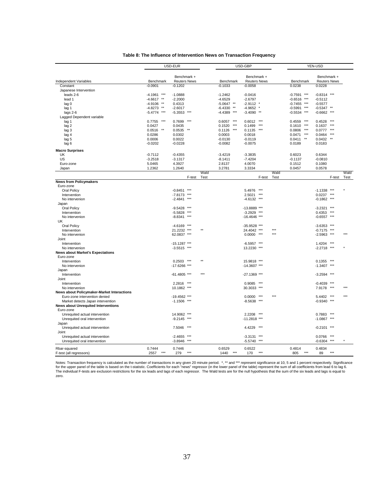|                                            |                                 | USD-EUR                          |       | USD-GBP                   |                                  |        |       | YEN-USD                         |                        |                     |       |
|--------------------------------------------|---------------------------------|----------------------------------|-------|---------------------------|----------------------------------|--------|-------|---------------------------------|------------------------|---------------------|-------|
|                                            |                                 | Benchmark +                      |       | Benchmark                 | Benchmark +                      |        |       |                                 | Benchmark +            |                     |       |
| Independent Variables<br>Constant          | Benchmark<br>$-0.0901$          | <b>Reuters News</b><br>$-0.1202$ |       | $-0.1033$                 | <b>Reuters News</b><br>$-0.0058$ |        |       | Benchmark<br>0.0238             | 0.0228                 | <b>Reuters News</b> |       |
|                                            |                                 |                                  |       |                           |                                  |        |       |                                 |                        |                     |       |
| Japanese Intervention<br>leads 2-6         | $-4.1961$ ***                   | $-1.0888$                        |       | $-1.2462$                 | $-0.0416$                        |        |       | $***$<br>$-0.7591$              | $-0.8314$ ***          |                     |       |
|                                            | $***$                           |                                  |       |                           |                                  |        |       | $***$                           |                        |                     |       |
| lead 1                                     | $-4.6617$<br>$***$<br>$-4.9106$ | $-2.2000$<br>0.4313              |       | $-4.6529$<br>$-5.0647$ ** | $-2.6797$<br>$-2.9112$ *         |        |       | $-0.6516$<br>$***$<br>$-0.7455$ | $-0.5112$<br>$-0.5577$ |                     |       |
| lag 0                                      | $-4.8273$<br>$***$              | $-2.6017$                        |       | $***$<br>$-6.4330$        |                                  |        |       | $***$<br>$-0.5991$              |                        |                     |       |
| lag 1                                      | $***$                           |                                  |       | $***$                     | $-4.9652$                        |        |       | $***$                           | $-0.5347$ **           |                     |       |
| lags 2-6                                   | $-5.4774$                       | $-5.3553$ ***                    |       | $-4.4389$                 | $-3.4090$ **                     |        |       | $-0.5534$                       | $-0.6662$ ***          |                     |       |
| Lagged Dependent variable                  | $***$                           | $***$                            |       | $***$                     |                                  |        |       | $***$                           |                        | $***$               |       |
| lag 1                                      | 0.7755                          | 0.7699                           |       | 0.6057                    | $0.6012$ ***                     | $***$  |       | 0.4559                          | 0.4528                 | $***$               |       |
| lag <sub>2</sub>                           | 0.0427<br>$^{\star\star}$       | 0.0435                           |       | $***$<br>0.1520<br>$***$  | 0.1499                           |        |       | $***$<br>0.1610<br>$***$        | 0.1637                 | $***$               |       |
| lag <sub>3</sub>                           | 0.0516                          | $0.0535$ **                      |       | 0.1126                    | $0.1135$ ***                     |        |       | 0.0806                          | 0.0777                 |                     |       |
| lag 4                                      | 0.0286                          | 0.0302                           |       | 0.0003                    | 0.0018                           |        |       | $***$<br>0.0471                 | $0.0464$ ***           |                     |       |
| lag 5                                      | 0.0006                          | 0.0022                           |       | $-0.0130$                 | $-0.0119$                        |        |       | $^{\star\star}$<br>0.0411       | 0.0432                 | $\star\star$        |       |
| lag 6                                      | $-0.0202$                       | $-0.0228$                        |       | $-0.0082$                 | $-0.0075$                        |        |       | 0.0189                          | 0.0183                 |                     |       |
| <b>Macro Surprises</b>                     |                                 |                                  |       |                           |                                  |        |       |                                 |                        |                     |       |
| UK                                         | $-0.7112$                       | $-0.4355$                        |       | $-3.4219$                 | $-3.3835$                        |        |       | 0.6023                          | 0.6344                 |                     |       |
| US                                         | $-3.2518$                       | $-3.1317$                        |       | $-8.1411$                 | $-7.4204$                        |        |       | $-0.1137$                       | $-0.0810$              |                     |       |
| Euro-zone                                  | 5.0465                          | 4.3927                           |       | 2.8137                    | 4.0070                           |        |       | 0.1512                          | 0.1080                 |                     |       |
| Japan                                      | 1.2362                          | 1.2640                           |       | 3.2781                    | 3.3334                           |        |       | 0.0457                          | 0.0578                 |                     |       |
|                                            |                                 |                                  | Wald  |                           |                                  |        | Wald  |                                 |                        |                     | Wald  |
|                                            |                                 | F-test                           | Test  |                           |                                  | F-test | Test  |                                 |                        | F-test              | Test  |
| <b>News from Policymakers</b>              |                                 |                                  |       |                           |                                  |        |       |                                 |                        |                     |       |
| Euro-zone                                  |                                 |                                  |       |                           |                                  |        |       |                                 |                        |                     |       |
| Oral Policy                                |                                 | $-0.8451$ ***                    |       |                           | 5.4976                           | $***$  |       |                                 | $-1.1338$ ***          |                     |       |
| Intervention                               |                                 | $-7.8173$ ***                    |       |                           | 2.5021                           | $***$  |       |                                 | 0.0237                 | $***$               |       |
| No intervenion                             |                                 | $***$<br>$-2.4841$               |       |                           | $-4.6132$ ***                    |        |       |                                 | $-0.1862$              | $***$               |       |
| Japan                                      |                                 |                                  |       |                           |                                  |        |       |                                 |                        |                     |       |
|                                            |                                 | -9.5428 ***                      |       |                           | -13.8889 ***                     |        |       |                                 | $-3.2321$ ***          |                     |       |
| Oral Policy                                |                                 |                                  |       |                           | $-3.2929$ ***                    |        |       |                                 |                        |                     |       |
| Intervention                               |                                 | $-5.5828$ ***                    |       |                           |                                  |        |       |                                 | $0.4353$ ***           |                     |       |
| No intervenion                             |                                 | $-8.8341$ ***                    |       |                           | $-16.4646$ ***                   |        |       |                                 | $-0.6557$ ***          |                     |       |
| UK                                         |                                 | $-4.6169$ ***                    |       |                           |                                  |        |       |                                 |                        |                     |       |
| Oral Policy                                |                                 |                                  |       |                           | -35.9528 ***                     |        |       |                                 | $-3.6353$ ***          |                     |       |
| Intervention                               |                                 | 21.2232 ***<br>62.0837 ***       |       |                           | 24.4042 ***<br>0.0000            | $***$  | $***$ |                                 | $-0.7175$ ***          | $***$               |       |
| No intervenion                             |                                 |                                  |       |                           |                                  |        |       |                                 | $-2.5963$              |                     |       |
| Joint                                      |                                 |                                  |       |                           |                                  |        |       |                                 |                        |                     |       |
| Intervention                               |                                 | $-15.1287$ ***                   |       |                           | $-6.5957$ ***                    |        |       |                                 | $1.4204$ ***           |                     |       |
| No intervenion                             |                                 | $-3.5515$ ***                    |       |                           | 13.2230 ***                      |        |       |                                 | $-2.2718$ ***          |                     |       |
| <b>News about Market's Expectations</b>    |                                 |                                  |       |                           |                                  |        |       |                                 |                        |                     |       |
| Euro-zone                                  |                                 |                                  |       |                           |                                  |        |       |                                 |                        |                     |       |
| Intervention                               |                                 | $0.2503$ ***                     |       |                           | 15.9818 ***                      |        |       |                                 | $0.1355$ ***           |                     |       |
| No intervenion                             |                                 | -17.6266 ***                     |       |                           | $-14.3607$ ***                   |        |       |                                 | $-1.3407$ ***          |                     |       |
| Japan                                      |                                 |                                  | $***$ |                           |                                  |        |       |                                 |                        |                     |       |
| Intervention                               |                                 | $-61.4805$ ***                   |       |                           | -27.1369 ***                     |        |       |                                 | $-3.2594$ ***          |                     |       |
| Joint                                      |                                 |                                  |       |                           |                                  |        |       |                                 |                        |                     |       |
| Intervention                               |                                 | $***$<br>2.2816                  |       |                           | $0.9085$ ***                     |        |       |                                 | $-0.4039$ ***          |                     |       |
| No intervenion                             |                                 | 10.1862 ***                      |       |                           | 30.3033 ***                      |        |       |                                 | 7.9178                 | ***                 | $***$ |
| News about Policymaker-Market Interactions |                                 |                                  |       |                           |                                  |        |       |                                 |                        |                     |       |
| Euro-zone intervention denied              |                                 | -19.4562 ***                     |       |                           | 0.0000                           | ***    | $***$ |                                 | 5.4402                 | $***$               | $***$ |
| Market detects Japan intervention          |                                 | $-1.1506$ ***                    |       |                           | $-8.5638$ ***                    |        |       |                                 | $-0.9340$ ***          |                     |       |
| <b>News about Unrequited Interventions</b> |                                 |                                  |       |                           |                                  |        |       |                                 |                        |                     |       |
| Euro-zone                                  |                                 |                                  |       |                           |                                  |        |       |                                 |                        |                     |       |
| Unrequited actual intervention             |                                 | 14.9062 ***                      |       |                           | 2.2208                           | $***$  |       |                                 | 0.7883 ***             |                     |       |
| Unrequited oral intervention               |                                 | $-9.2145$ ***                    |       |                           | $-11.2818$ ***                   |        |       |                                 | $-1.0867$ ***          |                     |       |
| Japan                                      |                                 |                                  |       |                           |                                  |        |       |                                 |                        |                     |       |
| Unrequited actual intervention             |                                 | $***$<br>7.5046                  |       |                           | 4.4229                           | $***$  |       |                                 | $-0.2101$ ***          |                     |       |
| Joint                                      |                                 |                                  |       |                           |                                  |        |       |                                 |                        |                     |       |
| Unrequited actual intervention             |                                 | $-2.4655$ ***                    |       |                           | $-3.3131$ ***                    |        |       |                                 | 0.0766                 | $***$               |       |
| Unrequited oral intervention               |                                 | $***$<br>$-3.8946$               |       |                           | $-5.5740$                        | $***$  |       |                                 | $-0.6304$              | $***$               |       |
|                                            |                                 |                                  |       |                           |                                  |        |       |                                 |                        |                     |       |
| Rbar-squared                               | 0.7444                          | 0.7446                           |       | 0.6529                    | 0.6522                           |        |       | 0.4814                          | 0.4834                 |                     |       |
| F-test (all regressors)                    | $***$<br>2557                   | $***$<br>279                     |       | $***$<br>1440             | 170                              | $***$  |       | $***$<br>805                    | 89                     | $***$               |       |

#### **Table 8: The Influence of Intervention News on Transaction Frequency**

Notes: Transaction frequency is calculated as the number of transactions in any given 20 minute period. \*, \*\* and \*\*\* represent significance at 10, 5 and 1 percent respectively. Significance<br>for the upper panel of the tabl zero.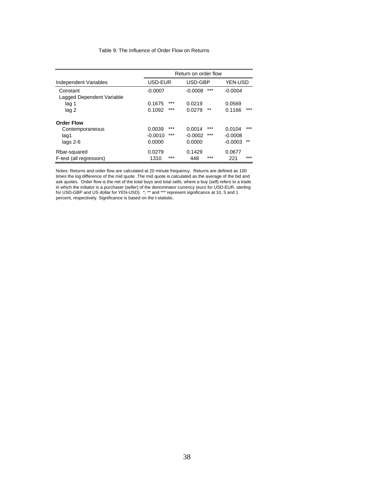#### Table 9: The Influence of Order Flow on Returns

|                                                          | Return on order flow                        |                                                 |                                                    |  |  |  |  |  |  |  |
|----------------------------------------------------------|---------------------------------------------|-------------------------------------------------|----------------------------------------------------|--|--|--|--|--|--|--|
| Independent Variables                                    | USD-EUR                                     | USD-GBP                                         | YEN-USD                                            |  |  |  |  |  |  |  |
| Constant<br>Lagged Dependent Variable                    | $-0.0007$                                   | $***$<br>$-0.0008$                              | $-0.0004$                                          |  |  |  |  |  |  |  |
| lag 1<br>lag <sub>2</sub>                                | ***<br>0.1675<br>***<br>0.1092              | 0.0219<br>$***$<br>0.0279                       | 0.0569<br>$***$<br>0.1166                          |  |  |  |  |  |  |  |
| <b>Order Flow</b><br>Contemporaneous<br>lag1<br>lags 2-6 | ***<br>0.0039<br>***<br>$-0.0010$<br>0.0000 | $***$<br>0.0014<br>$***$<br>$-0.0002$<br>0.0000 | $***$<br>0.0104<br>$-0.0008$<br>$***$<br>$-0.0003$ |  |  |  |  |  |  |  |
| Rbar-squared<br>F-test (all regressors)                  | 0.0279<br>$***$<br>1310                     | 0.1429<br>$***$<br>448                          | 0.0677<br>$***$<br>221                             |  |  |  |  |  |  |  |

Notes: Returns and order flow are calculated at 20 minute frequency. Returns are defined as 100 times the log difference of the mid quote .The mid quote is calculated as the average of the bid and ask quotes. Order flow is the net of the total buys and total sells, where a buy (sell) refers to a trade in which the initiator is a purchaser (seller) of the denominator currency (euro for USD-EUR, sterling for USD-GBP and US dollar for YEN-USD). \*, \*\* and \*\*\* represent significance at 10, 5 and 1 percent, respectively. Significance is based on the t-statistic.